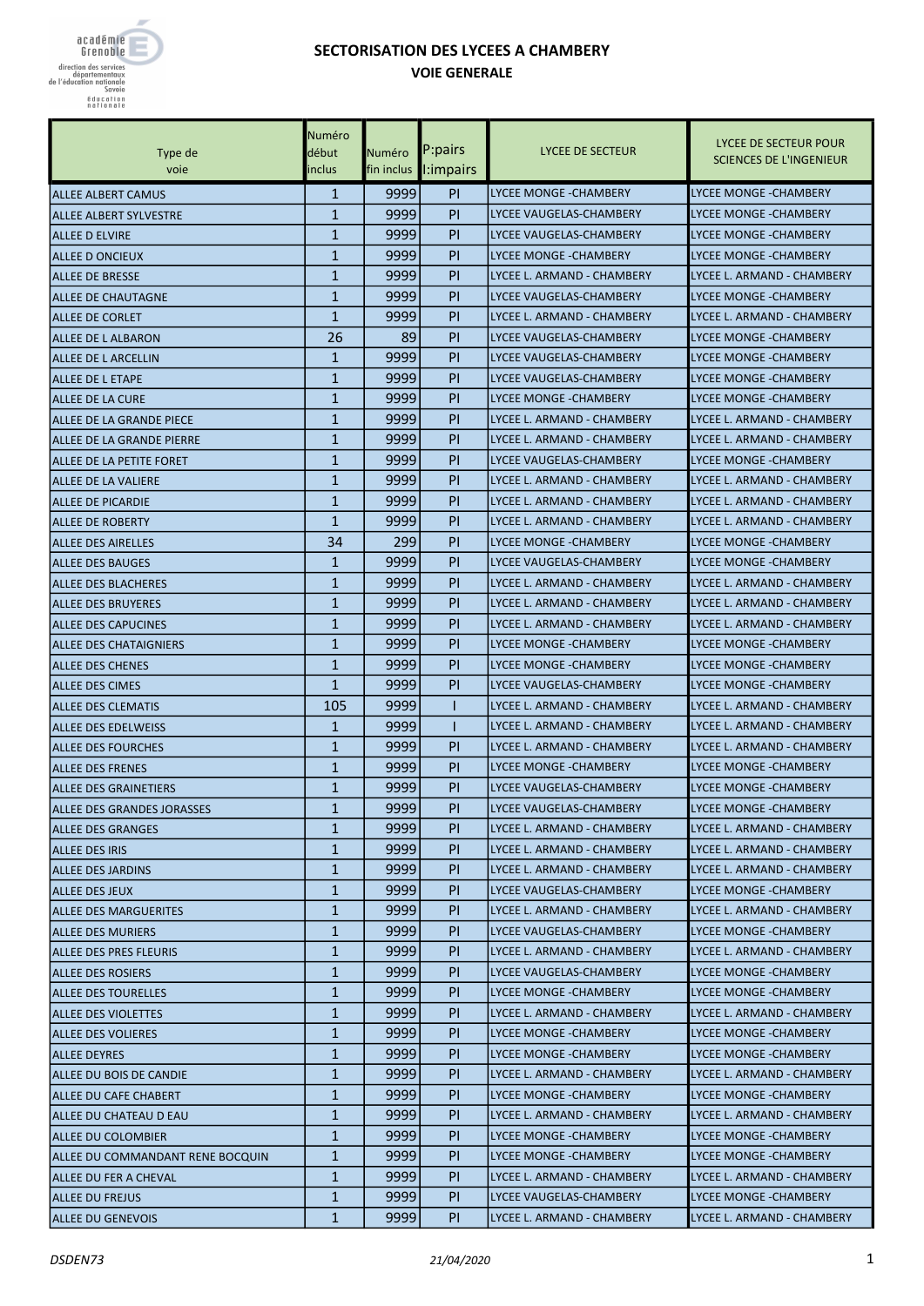

## SECTORISATION DES LYCEES A CHAMBERY VOIE GENERALE

| Type de<br>voie                   | Numéro<br>début<br>inclus | Numéro<br>fin inclus | P:pairs<br>l:impairs | LYCEE DE SECTEUR            | LYCEE DE SECTEUR POUR<br><b>SCIENCES DE L'INGENIEUR</b> |
|-----------------------------------|---------------------------|----------------------|----------------------|-----------------------------|---------------------------------------------------------|
| <b>ALLEE ALBERT CAMUS</b>         | $\mathbf{1}$              | 9999                 | <b>PI</b>            | LYCEE MONGE -CHAMBERY       | <b>LYCEE MONGE - CHAMBERY</b>                           |
| ALLEE ALBERT SYLVESTRE            | 1                         | 9999                 | PI                   | LYCEE VAUGELAS-CHAMBERY     | <b>LYCEE MONGE - CHAMBERY</b>                           |
| <b>ALLEE D ELVIRE</b>             | $\mathbf{1}$              | 9999                 | PI                   | LYCEE VAUGELAS-CHAMBERY     | <b>LYCEE MONGE -CHAMBERY</b>                            |
| ALLEE D ONCIEUX                   | $\mathbf{1}$              | 9999                 | PI                   | LYCEE MONGE -CHAMBERY       | <b>LYCEE MONGE - CHAMBERY</b>                           |
| <b>ALLEE DE BRESSE</b>            | $\mathbf{1}$              | 9999                 | PI                   | lLYCEE L. ARMAND - CHAMBERY | LYCEE L. ARMAND - CHAMBERY                              |
| ALLEE DE CHAUTAGNE                | $\mathbf{1}$              | 9999                 | PI                   | LYCEE VAUGELAS-CHAMBERY     | <b>LYCEE MONGE -CHAMBERY</b>                            |
| ALLEE DE CORLET                   | $\mathbf{1}$              | 9999                 | PI                   | LYCEE L. ARMAND - CHAMBERY  | LYCEE L. ARMAND - CHAMBERY                              |
| ALLEE DE L ALBARON                | 26                        | 89                   | PI                   | LYCEE VAUGELAS-CHAMBERY     | LYCEE MONGE -CHAMBERY                                   |
| ALLEE DE L ARCELLIN               | $\mathbf{1}$              | 9999                 | PI                   | lLYCEE VAUGELAS-CHAMBERY    | <b>LYCEE MONGE -CHAMBERY</b>                            |
| ALLEE DE L ETAPE                  | $\mathbf{1}$              | 9999                 | PI                   | lLYCEE VAUGELAS-CHAMBERY    | <b>LYCEE MONGE -CHAMBERY</b>                            |
| <b>ALLEE DE LA CURE</b>           | $\mathbf{1}$              | 9999                 | PI                   | LYCEE MONGE -CHAMBERY       | <b>LYCEE MONGE -CHAMBERY</b>                            |
| ALLEE DE LA GRANDE PIECE          | $\mathbf{1}$              | 9999                 | PI                   | LYCEE L. ARMAND - CHAMBERY  | LYCEE L. ARMAND - CHAMBERY                              |
| ALLEE DE LA GRANDE PIERRE         | $\mathbf{1}$              | 9999                 | PI                   | LYCEE L. ARMAND - CHAMBERY  | LYCEE L. ARMAND - CHAMBERY                              |
| ALLEE DE LA PETITE FORET          | $\mathbf{1}$              | 9999                 | PI                   | LYCEE VAUGELAS-CHAMBERY     | <b>LYCEE MONGE -CHAMBERY</b>                            |
| ALLEE DE LA VALIERE               | $\mathbf{1}$              | 9999                 | PI                   | lLYCEE L. ARMAND - CHAMBERY | LYCEE L. ARMAND - CHAMBERY                              |
| <b>ALLEE DE PICARDIE</b>          | $\mathbf{1}$              | 9999                 | PI                   | lLYCEE L. ARMAND - CHAMBERY | LYCEE L. ARMAND - CHAMBERY                              |
| <b>ALLEE DE ROBERTY</b>           | $\mathbf{1}$              | 9999                 | PI                   | LYCEE L. ARMAND - CHAMBERY  | LYCEE L. ARMAND - CHAMBERY                              |
| <b>ALLEE DES AIRELLES</b>         | 34                        | 299                  | PI                   | LYCEE MONGE -CHAMBERY       | LYCEE MONGE -CHAMBERY                                   |
| <b>ALLEE DES BAUGES</b>           | $\mathbf{1}$              | 9999                 | PI                   | lLYCEE VAUGELAS-CHAMBERY    | <b>LYCEE MONGE -CHAMBERY</b>                            |
| <b>ALLEE DES BLACHERES</b>        | $\mathbf{1}$              | 9999                 | PI                   | lLYCEE L. ARMAND - CHAMBERY | LYCEE L. ARMAND - CHAMBERY                              |
| <b>ALLEE DES BRUYERES</b>         | $\mathbf{1}$              | 9999                 | PI                   | lLYCEE L. ARMAND - CHAMBERY | LYCEE L. ARMAND - CHAMBERY                              |
| <b>ALLEE DES CAPUCINES</b>        | $\mathbf{1}$              | 9999                 | PI                   | LYCEE L. ARMAND - CHAMBERY  | LYCEE L. ARMAND - CHAMBERY                              |
| <b>ALLEE DES CHATAIGNIERS</b>     | $\mathbf{1}$              | 9999                 | PI                   | LYCEE MONGE -CHAMBERY       | LYCEE MONGE -CHAMBERY                                   |
| <b>ALLEE DES CHENES</b>           | $\mathbf{1}$              | 9999                 | PI                   | LYCEE MONGE -CHAMBERY       | LYCEE MONGE - CHAMBERY                                  |
| <b>ALLEE DES CIMES</b>            | $\mathbf{1}$              | 9999                 | PI                   | lLYCEE VAUGELAS-CHAMBERY    | <b>LYCEE MONGE -CHAMBERY</b>                            |
| <b>ALLEE DES CLEMATIS</b>         | 105                       | 9999                 |                      | lLYCEE L. ARMAND - CHAMBERY | LYCEE L. ARMAND - CHAMBERY                              |
| ALLEE DES EDELWEISS               | 1                         | 9999                 |                      | LYCEE L. ARMAND - CHAMBERY  | LYCEE L. ARMAND - CHAMBERY                              |
| <b>ALLEE DES FOURCHES</b>         | 1                         | 9999                 | PI                   | LYCEE L. ARMAND - CHAMBERY  | LYCEE L. ARMAND - CHAMBERY                              |
| <b>ALLEE DES FRENES</b>           | $\mathbf{1}$              | 9999                 | PI                   | LYCEE MONGE -CHAMBERY       | <b>LYCEE MONGE - CHAMBERY</b>                           |
| <b>ALLEE DES GRAINETIERS</b>      | $\mathbf{1}$              | 9999                 | PI                   | lLYCEE VAUGELAS-CHAMBERY    | <b>LYCEE MONGE -CHAMBERY</b>                            |
| <b>ALLEE DES GRANDES JORASSES</b> | $\mathbf{1}$              | 9999                 | PI                   | LYCEE VAUGELAS-CHAMBERY     | <b>LYCEE MONGE -CHAMBERY</b>                            |
| <b>ALLEE DES GRANGES</b>          | $\mathbf{1}$              | 9999                 | PI                   | LYCEE L. ARMAND - CHAMBERY  | LYCEE L. ARMAND - CHAMBERY                              |
| <b>ALLEE DES IRIS</b>             | 1                         | 99991                | PL                   | LYCEE L. ARMAND - CHAMBERY  | LYCEE L. ARMAND - CHAMBERY                              |
| <b>ALLEE DES JARDINS</b>          | $\mathbf{1}$              | 9999                 | PL                   | LYCEE L. ARMAND - CHAMBERY  | LYCEE L. ARMAND - CHAMBERY                              |
| <b>ALLEE DES JEUX</b>             | $\mathbf{1}$              | 99991                | PI.                  | LYCEE VAUGELAS-CHAMBERY     | LYCEE MONGE - CHAMBERY                                  |
| <b>ALLEE DES MARGUERITES</b>      | $\mathbf{1}$              | 9999                 | PI                   | LYCEE L. ARMAND - CHAMBERY  | LYCEE L. ARMAND - CHAMBERY                              |
| ALLEE DES MURIERS                 | $\mathbf{1}$              | 9999                 | PI                   | LYCEE VAUGELAS-CHAMBERY     | LYCEE MONGE -CHAMBERY                                   |
| ALLEE DES PRES FLEURIS            | 1                         | 99991                | PL                   | LYCEE L. ARMAND - CHAMBERY  | LYCEE L. ARMAND - CHAMBERY                              |
| <b>ALLEE DES ROSIERS</b>          | $\mathbf{1}$              | 9999                 | PL                   | LYCEE VAUGELAS-CHAMBERY     | LYCEE MONGE - CHAMBERY                                  |
| <b>ALLEE DES TOURELLES</b>        | $\mathbf{1}$              | 9999                 | PI.                  | LYCEE MONGE -CHAMBERY       | LYCEE MONGE - CHAMBERY                                  |
| <b>ALLEE DES VIOLETTES</b>        | $\mathbf{1}$              | 9999                 | PI                   | LYCEE L. ARMAND - CHAMBERY  | LYCEE L. ARMAND - CHAMBERY                              |
| <b>ALLEE DES VOLIERES</b>         | $\mathbf{1}$              | 9999                 | PI                   | LYCEE MONGE - CHAMBERY      | LYCEE MONGE - CHAMBERY                                  |
| ALLEE DEYRES                      | 1                         | 99991                | PL                   | LYCEE MONGE -CHAMBERY       | LYCEE MONGE -CHAMBERY                                   |
| ALLEE DU BOIS DE CANDIE           | $\mathbf{1}$              | 99991                | PL                   | LYCEE L. ARMAND - CHAMBERY  | LYCEE L. ARMAND - CHAMBERY                              |
| ALLEE DU CAFE CHABERT             | $\mathbf{1}$              | 99991                | PL                   | ILYCEE MONGE -CHAMBERY      | LYCEE MONGE - CHAMBERY                                  |
| ALLEE DU CHATEAU D EAU            | $\mathbf{1}$              | 9999                 | PI                   | JLYCEE L. ARMAND - CHAMBERY | LYCEE L. ARMAND - CHAMBERY                              |
| ALLEE DU COLOMBIER                | $\mathbf{1}$              | 9999                 | PI                   | LYCEE MONGE - CHAMBERY      | LYCEE MONGE - CHAMBERY                                  |
| ALLEE DU COMMANDANT RENE BOCQUIN  | 1                         | 99991                | PL                   | LYCEE MONGE -CHAMBERY       | LYCEE MONGE -CHAMBERY                                   |
| ALLEE DU FER A CHEVAL             | $\mathbf{1}$              | 9999                 | PL                   | LYCEE L. ARMAND - CHAMBERY  | LYCEE L. ARMAND - CHAMBERY                              |
| <b>ALLEE DU FREJUS</b>            | $\mathbf{1}$              | 9999                 | PI.                  | LYCEE VAUGELAS-CHAMBERY     | LYCEE MONGE - CHAMBERY                                  |
| <b>ALLEE DU GENEVOIS</b>          | $\mathbf{1}$              | 9999                 | PI                   | LYCEE L. ARMAND - CHAMBERY  | LYCEE L. ARMAND - CHAMBERY                              |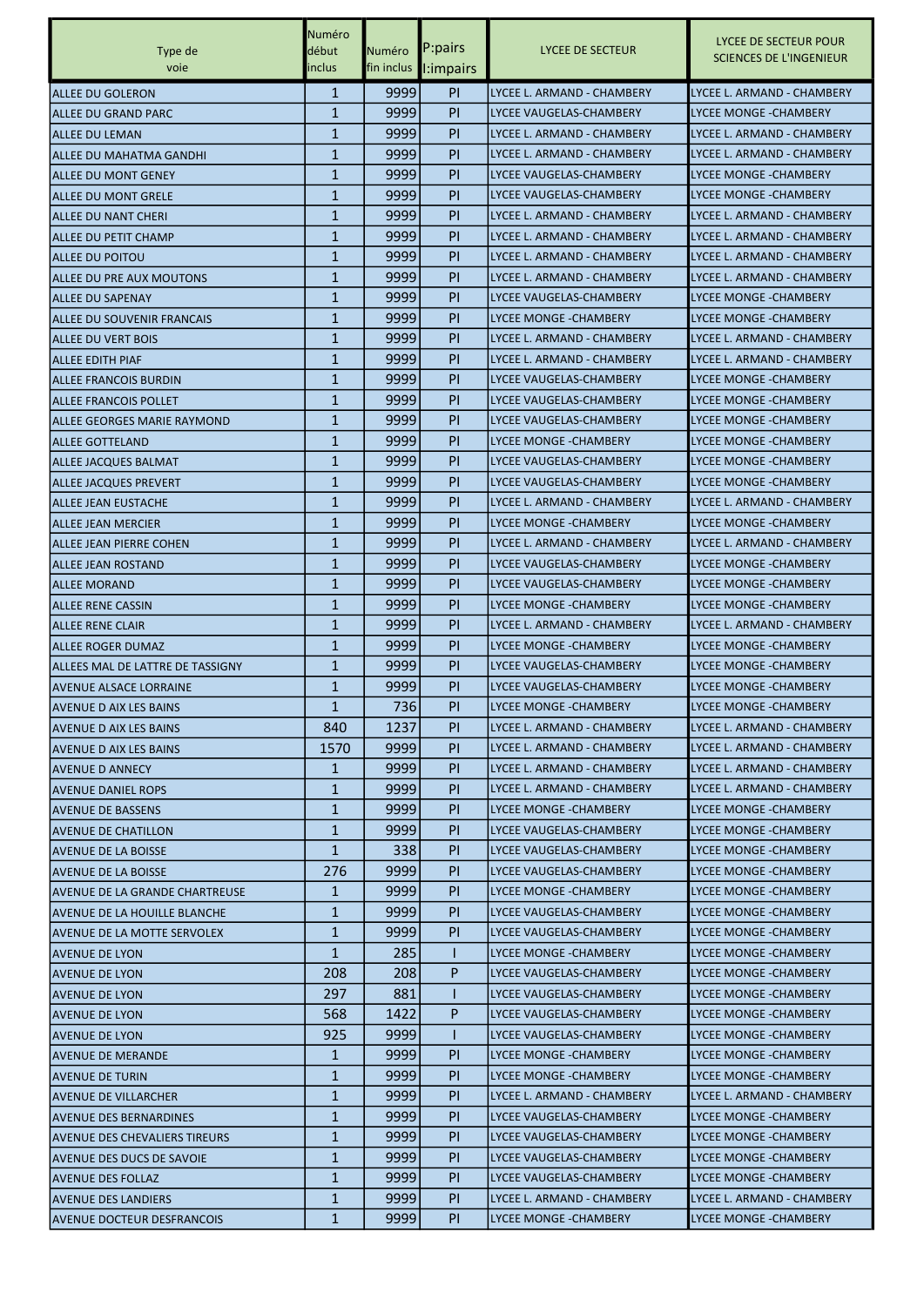|                                   | Numéro       |        |                       |                               |                                                         |
|-----------------------------------|--------------|--------|-----------------------|-------------------------------|---------------------------------------------------------|
| Type de                           | début        | Numéro | P:pairs               | LYCEE DE SECTEUR              | LYCEE DE SECTEUR POUR<br><b>SCIENCES DE L'INGENIEUR</b> |
| voie                              | inclus       |        | fin inclus l: impairs |                               |                                                         |
| ALLEE DU GOLERON                  | 1            | 9999   | <b>PI</b>             | lLYCEE L. ARMAND - CHAMBERY   | LYCEE L. ARMAND - CHAMBERY                              |
| ALLEE DU GRAND PARC               | $\mathbf{1}$ | 9999   | PI                    | LYCEE VAUGELAS-CHAMBERY       | <b>LYCEE MONGE -CHAMBERY</b>                            |
| <b>ALLEE DU LEMAN</b>             | 1            | 9999   | PI                    | LYCEE L. ARMAND - CHAMBERY    | LYCEE L. ARMAND - CHAMBERY                              |
| ALLEE DU MAHATMA GANDHI           | $\mathbf{1}$ | 9999   | PI                    | lLYCEE L. ARMAND - CHAMBERY   | LYCEE L. ARMAND - CHAMBERY                              |
| ALLEE DU MONT GENEY               | 1            | 9999   | PI                    | lLYCEE VAUGELAS-CHAMBERY      | <b>LYCEE MONGE -CHAMBERY</b>                            |
| ALLEE DU MONT GRELE               | 1            | 9999   | PI                    | LYCEE VAUGELAS-CHAMBERY       | <b>LYCEE MONGE - CHAMBERY</b>                           |
| ALLEE DU NANT CHERI               | $\mathbf{1}$ | 9999   | PI                    | LYCEE L. ARMAND - CHAMBERY    | LYCEE L. ARMAND - CHAMBERY                              |
| <b>ALLEE DU PETIT CHAMP</b>       | $\mathbf{1}$ | 9999   | PI                    | lLYCEE L. ARMAND - CHAMBERY   | LYCEE L. ARMAND - CHAMBERY                              |
|                                   | $\mathbf{1}$ | 9999   | PI                    | lLYCEE L. ARMAND - CHAMBERY   | LYCEE L. ARMAND - CHAMBERY                              |
| ALLEE DU POITOU                   | 1            | 9999   | PI                    | lLYCEE L. ARMAND - CHAMBERY   | LYCEE L. ARMAND - CHAMBERY                              |
| ALLEE DU PRE AUX MOUTONS          |              |        |                       |                               |                                                         |
| <b>ALLEE DU SAPENAY</b>           | $\mathbf{1}$ | 9999   | PI                    | LYCEE VAUGELAS-CHAMBERY       | <b>LYCEE MONGE - CHAMBERY</b>                           |
| <b>ALLEE DU SOUVENIR FRANCAIS</b> | $\mathbf{1}$ | 9999   | <b>PI</b>             | LYCEE MONGE -CHAMBERY         | LYCEE MONGE - CHAMBERY                                  |
| <b>ALLEE DU VERT BOIS</b>         | 1            | 9999   | PI                    | LYCEE L. ARMAND - CHAMBERY    | LYCEE L. ARMAND - CHAMBERY                              |
| <b>ALLEE EDITH PIAF</b>           | $\mathbf{1}$ | 9999   | PI                    | lLYCEE L. ARMAND - CHAMBERY   | LYCEE L. ARMAND - CHAMBERY                              |
| ALLEE FRANCOIS BURDIN             | 1            | 9999   | PI                    | lLYCEE VAUGELAS-CHAMBERY      | <b>LYCEE MONGE -CHAMBERY</b>                            |
| <b>ALLEE FRANCOIS POLLET</b>      | 1            | 9999   | PI                    | LYCEE VAUGELAS-CHAMBERY       | <b>LYCEE MONGE - CHAMBERY</b>                           |
| ALLEE GEORGES MARIE RAYMOND       | $\mathbf{1}$ | 9999   | <b>PI</b>             | LYCEE VAUGELAS-CHAMBERY       | LYCEE MONGE - CHAMBERY                                  |
| <b>ALLEE GOTTELAND</b>            | $\mathbf{1}$ | 9999   | PI                    | LYCEE MONGE -CHAMBERY         | <b>LYCEE MONGE - CHAMBERY</b>                           |
| <b>ALLEE JACQUES BALMAT</b>       | 1            | 9999   | PI                    | lLYCEE VAUGELAS-CHAMBERY      | <b>LYCEE MONGE -CHAMBERY</b>                            |
| ALLEE JACQUES PREVERT             | 1            | 9999   | PI                    | lLYCEE VAUGELAS-CHAMBERY      | <b>LYCEE MONGE -CHAMBERY</b>                            |
| ALLEE JEAN EUSTACHE               | $\mathbf{1}$ | 9999   | PI                    | LYCEE L. ARMAND - CHAMBERY    | LYCEE L. ARMAND - CHAMBERY                              |
| ALLEE JEAN MERCIER                | $\mathbf{1}$ | 9999   | <b>PI</b>             | LYCEE MONGE -CHAMBERY         | LYCEE MONGE - CHAMBERY                                  |
| ALLEE JEAN PIERRE COHEN           | 1            | 9999   | PI                    | LYCEE L. ARMAND - CHAMBERY    | LYCEE L. ARMAND - CHAMBERY                              |
| <b>ALLEE JEAN ROSTAND</b>         | 1            | 9999   | PI                    | lLYCEE VAUGELAS-CHAMBERY      | <b>LYCEE MONGE -CHAMBERY</b>                            |
| ALLEE MORAND                      | 1            | 9999   | PI                    | lLYCEE VAUGELAS-CHAMBERY      | <b>LYCEE MONGE -CHAMBERY</b>                            |
| <b>ALLEE RENE CASSIN</b>          | 1            | 9999   | PI                    | LYCEE MONGE -CHAMBERY         | <b>LYCEE MONGE - CHAMBERY</b>                           |
| <b>ALLEE RENE CLAIR</b>           | 1            | 9999   | <b>PI</b>             | LYCEE L. ARMAND - CHAMBERY    | LYCEE L. ARMAND - CHAMBERY                              |
| <b>ALLEE ROGER DUMAZ</b>          | $\mathbf{1}$ | 9999   | PI                    | LYCEE MONGE -CHAMBERY         | LYCEE MONGE -CHAMBERY                                   |
| ALLEES MAL DE LATTRE DE TASSIGNY  | 1            | 9999   | PI                    | LYCEE VAUGELAS-CHAMBERY       | <b>LYCEE MONGE -CHAMBERY</b>                            |
| <b>AVENUE ALSACE LORRAINE</b>     | 1            | 9999   | PI                    | LYCEE VAUGELAS-CHAMBERY       | <b>LYCEE MONGE -CHAMBERY</b>                            |
|                                   | $\mathbf{1}$ | 736    | PI                    | LYCEE MONGE -CHAMBERY         | <b>LYCEE MONGE - CHAMBERY</b>                           |
| <b>AVENUE D AIX LES BAINS</b>     |              | 1237   |                       | LYCEE L. ARMAND - CHAMBERY    | LYCEE L. ARMAND - CHAMBERY                              |
| <b>AVENUE D AIX LES BAINS</b>     | 840          |        | <b>PI</b>             |                               |                                                         |
| <b>AVENUE D AIX LES BAINS</b>     | 1570         | 9999   | <b>PI</b>             | LYCEE L. ARMAND - CHAMBERY    | LYCEE L. ARMAND - CHAMBERY                              |
| <b>AVENUE D ANNECY</b>            | 1            | 9999   | PI                    | LYCEE L. ARMAND - CHAMBERY    | LYCEE L. ARMAND - CHAMBERY                              |
| <b>AVENUE DANIEL ROPS</b>         | $\mathbf{1}$ | 9999   | PI.                   | LYCEE L. ARMAND - CHAMBERY    | LYCEE L. ARMAND - CHAMBERY                              |
| <b>AVENUE DE BASSENS</b>          | $\mathbf{1}$ | 99991  | <b>PI</b>             | LYCEE MONGE -CHAMBERY         | LYCEE MONGE - CHAMBERY                                  |
| <b>AVENUE DE CHATILLON</b>        | $\mathbf{1}$ | 9999   | PI.                   | LYCEE VAUGELAS-CHAMBERY       | LYCEE MONGE - CHAMBERY                                  |
| <b>AVENUE DE LA BOISSE</b>        | $\mathbf{1}$ | 338    | <b>PI</b>             | LYCEE VAUGELAS-CHAMBERY       | LYCEE MONGE - CHAMBERY                                  |
| <b>AVENUE DE LA BOISSE</b>        | 276          | 9999   | PI.                   | LYCEE VAUGELAS-CHAMBERY       | LYCEE MONGE - CHAMBERY                                  |
| AVENUE DE LA GRANDE CHARTREUSE    | 1            | 9999   | <b>PI</b>             | LYCEE MONGE -CHAMBERY         | LYCEE MONGE - CHAMBERY                                  |
| AVENUE DE LA HOUILLE BLANCHE      | $\mathbf{1}$ | 9999   | <b>PI</b>             | LYCEE VAUGELAS-CHAMBERY       | LYCEE MONGE - CHAMBERY                                  |
| AVENUE DE LA MOTTE SERVOLEX       | $\mathbf{1}$ | ا9999  | PI.                   | LYCEE VAUGELAS-CHAMBERY       | LYCEE MONGE - CHAMBERY                                  |
| <b>AVENUE DE LYON</b>             | $\mathbf{1}$ | 285    | н                     | LYCEE MONGE -CHAMBERY         | LYCEE MONGE - CHAMBERY                                  |
| <b>AVENUE DE LYON</b>             | 208          | 208    | P                     | LYCEE VAUGELAS-CHAMBERY       | LYCEE MONGE -CHAMBERY                                   |
| <b>AVENUE DE LYON</b>             | 297          | 881    |                       | LYCEE VAUGELAS-CHAMBERY       | LYCEE MONGE - CHAMBERY                                  |
| <b>AVENUE DE LYON</b>             | 568          | 1422   | P                     | LYCEE VAUGELAS-CHAMBERY       | LYCEE MONGE - CHAMBERY                                  |
| <b>AVENUE DE LYON</b>             | 925          | 9999   |                       | LYCEE VAUGELAS-CHAMBERY       | LYCEE MONGE - CHAMBERY                                  |
| <b>AVENUE DE MERANDE</b>          | $\mathbf{1}$ | 9999   | <b>PI</b>             | LYCEE MONGE - CHAMBERY        | LYCEE MONGE - CHAMBERY                                  |
| <b>AVENUE DE TURIN</b>            | $\mathbf{1}$ | 9999   | PI.                   | LYCEE MONGE -CHAMBERY         | LYCEE MONGE - CHAMBERY                                  |
| <b>AVENUE DE VILLARCHER</b>       | $\mathbf{1}$ | 9999   | <b>PI</b>             | ILYCEE L. ARMAND - CHAMBERY   | LYCEE L. ARMAND - CHAMBERY                              |
| <b>AVENUE DES BERNARDINES</b>     | $\mathbf{1}$ | 9999   | <b>PI</b>             | LYCEE VAUGELAS-CHAMBERY       | LYCEE MONGE - CHAMBERY                                  |
| AVENUE DES CHEVALIERS TIREURS     | $\mathbf{1}$ | 9999   | PI.                   | LYCEE VAUGELAS-CHAMBERY       | LYCEE MONGE - CHAMBERY                                  |
| <b>AVENUE DES DUCS DE SAVOIE</b>  | $\mathbf{1}$ | 9999   | <b>PI</b>             | LYCEE VAUGELAS-CHAMBERY       | LYCEE MONGE - CHAMBERY                                  |
| <b>AVENUE DES FOLLAZ</b>          | $\mathbf{1}$ | 9999   | PI.                   | LYCEE VAUGELAS-CHAMBERY       | LYCEE MONGE -CHAMBERY                                   |
|                                   | $\mathbf{1}$ | 99991  | PI.                   | LYCEE L. ARMAND - CHAMBERY    | LYCEE L. ARMAND - CHAMBERY                              |
| <b>AVENUE DES LANDIERS</b>        |              |        |                       |                               |                                                         |
| AVENUE DOCTEUR DESFRANCOIS        | $\mathbf{1}$ | 9999   | PI.                   | <b>LYCEE MONGE - CHAMBERY</b> | LYCEE MONGE - CHAMBERY                                  |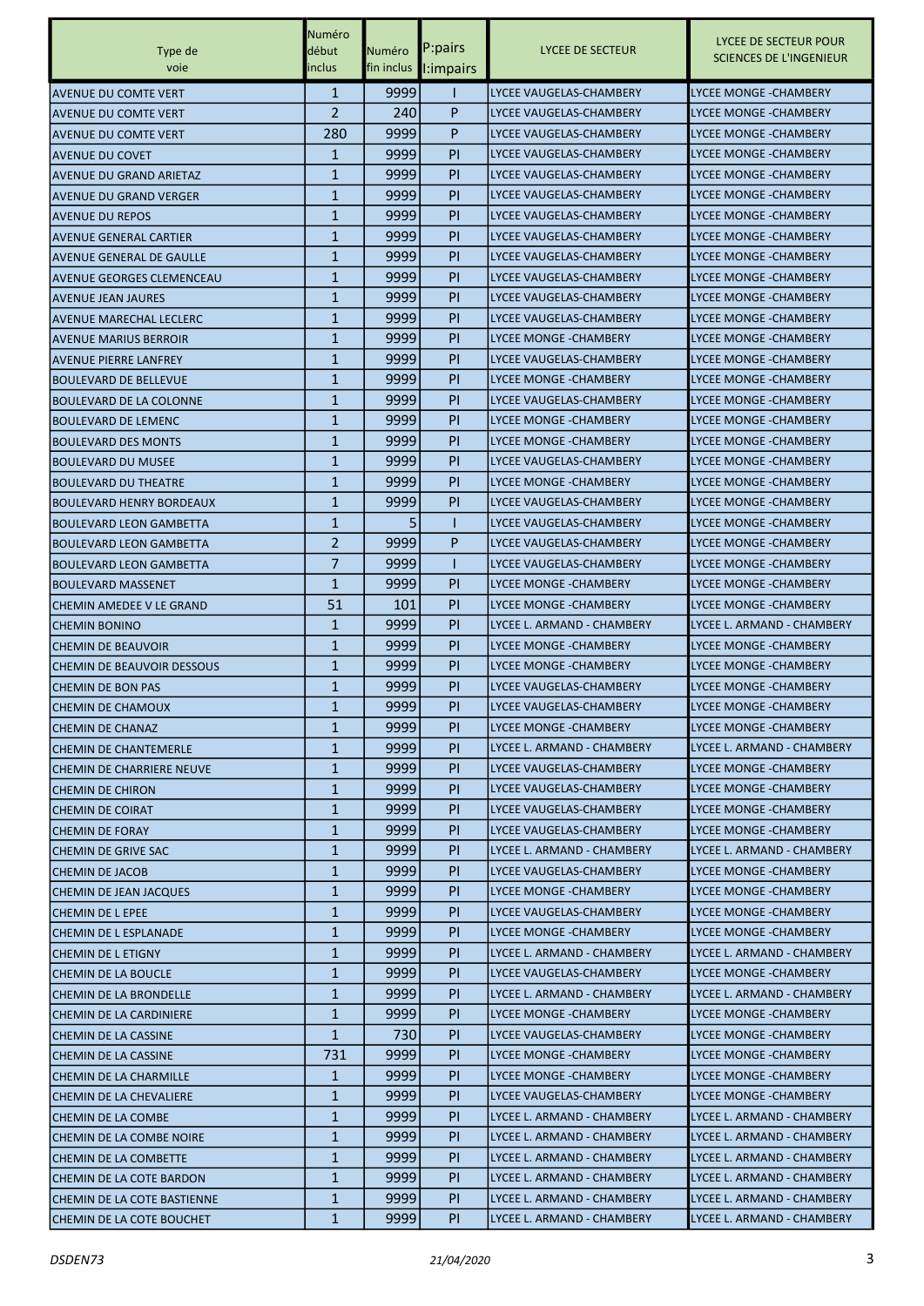|                                  | Numéro         |               |           |                                | LYCEE DE SECTEUR POUR          |
|----------------------------------|----------------|---------------|-----------|--------------------------------|--------------------------------|
| Type de                          | début          | <b>Numéro</b> | P:pairs   | LYCEE DE SECTEUR               | <b>SCIENCES DE L'INGENIEUR</b> |
| voie                             | inclus         | fin inclus    | l:impairs |                                |                                |
| <b>AVENUE DU COMTE VERT</b>      | $\mathbf{1}$   | 9999          |           | <b>LYCEE VAUGELAS-CHAMBERY</b> | <b>LYCEE MONGE - CHAMBERY</b>  |
| <b>AVENUE DU COMTE VERT</b>      | $\overline{2}$ | 240           | P         | LYCEE VAUGELAS-CHAMBERY        | <b>LYCEE MONGE - CHAMBERY</b>  |
| <b>AVENUE DU COMTE VERT</b>      | 280            | 9999          | P         | LYCEE VAUGELAS-CHAMBERY        | LYCEE MONGE -CHAMBERY          |
| <b>AVENUE DU COVET</b>           | 1              | 9999          | <b>PI</b> | LYCEE VAUGELAS-CHAMBERY        | LYCEE MONGE -CHAMBERY          |
| <b>AVENUE DU GRAND ARIETAZ</b>   | $\mathbf{1}$   | 9999          | <b>PI</b> | LYCEE VAUGELAS-CHAMBERY        | <b>LYCEE MONGE - CHAMBERY</b>  |
| AVENUE DU GRAND VERGER           | $\mathbf{1}$   | 9999          | <b>PI</b> | LYCEE VAUGELAS-CHAMBERY        | LYCEE MONGE -CHAMBERY          |
| <b>AVENUE DU REPOS</b>           | $\mathbf{1}$   | 9999          | <b>PI</b> | LYCEE VAUGELAS-CHAMBERY        | <b>LYCEE MONGE -CHAMBERY</b>   |
| <b>AVENUE GENERAL CARTIER</b>    | $\mathbf{1}$   | 9999          | <b>PI</b> | LYCEE VAUGELAS-CHAMBERY        | LYCEE MONGE -CHAMBERY          |
| AVENUE GENERAL DE GAULLE         | $\mathbf{1}$   | 9999          | <b>PI</b> | LYCEE VAUGELAS-CHAMBERY        | LYCEE MONGE -CHAMBERY          |
| <b>AVENUE GEORGES CLEMENCEAU</b> | $\mathbf{1}$   | 9999          | <b>PI</b> | LYCEE VAUGELAS-CHAMBERY        | <b>LYCEE MONGE - CHAMBERY</b>  |
| <b>AVENUE JEAN JAURES</b>        | $\mathbf{1}$   | 9999          | <b>PI</b> | LYCEE VAUGELAS-CHAMBERY        | <b>LYCEE MONGE -CHAMBERY</b>   |
| <b>AVENUE MARECHAL LECLERC</b>   | $\mathbf{1}$   | 9999          | <b>PI</b> | LYCEE VAUGELAS-CHAMBERY        | <b>LYCEE MONGE -CHAMBERY</b>   |
| <b>AVENUE MARIUS BERROIR</b>     | $\mathbf{1}$   | 9999          | <b>PI</b> | <b>LYCEE MONGE - CHAMBERY</b>  | LYCEE MONGE -CHAMBERY          |
| <b>AVENUE PIERRE LANFREY</b>     | $\mathbf{1}$   | 9999          | <b>PI</b> | LYCEE VAUGELAS-CHAMBERY        | LYCEE MONGE -CHAMBERY          |
| <b>BOULEVARD DE BELLEVUE</b>     | $\mathbf{1}$   | 9999          | <b>PI</b> | LYCEE MONGE - CHAMBERY         | <b>LYCEE MONGE - CHAMBERY</b>  |
| <b>BOULEVARD DE LA COLONNE</b>   | $\mathbf{1}$   | 9999          | <b>PI</b> | LYCEE VAUGELAS-CHAMBERY        | <b>LYCEE MONGE - CHAMBERY</b>  |
| <b>BOULEVARD DE LEMENC</b>       | $\mathbf{1}$   | 9999          | <b>PI</b> | LYCEE MONGE - CHAMBERY         | <b>LYCEE MONGE - CHAMBERY</b>  |
| <b>BOULEVARD DES MONTS</b>       | $\mathbf{1}$   | 9999          | <b>PI</b> | <b>LYCEE MONGE - CHAMBERY</b>  | LYCEE MONGE -CHAMBERY          |
| <b>BOULEVARD DU MUSEE</b>        | $\mathbf{1}$   | 9999          | <b>PI</b> | LYCEE VAUGELAS-CHAMBERY        | LYCEE MONGE -CHAMBERY          |
| <b>BOULEVARD DU THEATRE</b>      | $\mathbf{1}$   | 9999          | <b>PI</b> | LYCEE MONGE - CHAMBERY         | <b>LYCEE MONGE - CHAMBERY</b>  |
| <b>BOULEVARD HENRY BORDEAUX</b>  | $\mathbf{1}$   | 9999          | <b>PI</b> | LYCEE VAUGELAS-CHAMBERY        | <b>LYCEE MONGE -CHAMBERY</b>   |
| <b>BOULEVARD LEON GAMBETTA</b>   | $\mathbf{1}$   | 5             |           | LYCEE VAUGELAS-CHAMBERY        | <b>LYCEE MONGE -CHAMBERY</b>   |
| <b>BOULEVARD LEON GAMBETTA</b>   | $\overline{2}$ | 9999          | P         | LYCEE VAUGELAS-CHAMBERY        | LYCEE MONGE -CHAMBERY          |
| <b>BOULEVARD LEON GAMBETTA</b>   | 7              | 9999          |           | LYCEE VAUGELAS-CHAMBERY        | LYCEE MONGE -CHAMBERY          |
| <b>BOULEVARD MASSENET</b>        | $\mathbf{1}$   | 9999          | <b>PI</b> | LYCEE MONGE - CHAMBERY         | LYCEE MONGE - CHAMBERY         |
| CHEMIN AMEDEE V LE GRAND         | 51             | 101           | <b>PI</b> | LYCEE MONGE - CHAMBERY         | <b>LYCEE MONGE - CHAMBERY</b>  |
| <b>CHEMIN BONINO</b>             | $\mathbf{1}$   | 9999          | <b>PI</b> | LYCEE L. ARMAND - CHAMBERY     | LYCEE L. ARMAND - CHAMBERY     |
| CHEMIN DE BEAUVOIR               | $\mathbf{1}$   | 9999          | <b>PI</b> | <b>LYCEE MONGE - CHAMBERY</b>  | LYCEE MONGE -CHAMBERY          |
| CHEMIN DE BEAUVOIR DESSOUS       | $\mathbf{1}$   | 9999          | <b>PI</b> | LYCEE MONGE - CHAMBERY         | LYCEE MONGE -CHAMBERY          |
| <b>CHEMIN DE BON PAS</b>         | $\mathbf{1}$   | 9999          | <b>PI</b> | LYCEE VAUGELAS-CHAMBERY        | LYCEE MONGE -CHAMBERY          |
| <b>CHEMIN DE CHAMOUX</b>         | $\mathbf{1}$   | 9999          | <b>PI</b> | LYCEE VAUGELAS-CHAMBERY        | LYCEE MONGE -CHAMBERY          |
| <b>CHEMIN DE CHANAZ</b>          | 1              | 9999          | PI.       | LYCEE MONGE -CHAMBERY          | LYCEE MONGE - CHAMBERY         |
| <b>CHEMIN DE CHANTEMERLE</b>     | $\mathbf{1}$   | 99991         | <b>PI</b> | LYCEE L. ARMAND - CHAMBERY     | LYCEE L. ARMAND - CHAMBERY     |
| CHEMIN DE CHARRIERE NEUVE        | 1              | 99991         | PI.       | LYCEE VAUGELAS-CHAMBERY        | LYCEE MONGE -CHAMBERY          |
| <b>CHEMIN DE CHIRON</b>          | $\mathbf{1}$   | 9999          | PI.       | LYCEE VAUGELAS-CHAMBERY        | LYCEE MONGE - CHAMBERY         |
| <b>CHEMIN DE COIRAT</b>          | $\mathbf{1}$   | 9999          | PI.       | LYCEE VAUGELAS-CHAMBERY        | LYCEE MONGE - CHAMBERY         |
| <b>CHEMIN DE FORAY</b>           | 1              | 9999          | PI.       | LYCEE VAUGELAS-CHAMBERY        | LYCEE MONGE - CHAMBERY         |
| CHEMIN DE GRIVE SAC              | $\mathbf{1}$   | 9999          | PI.       | LYCEE L. ARMAND - CHAMBERY     | LYCEE L. ARMAND - CHAMBERY     |
| <b>CHEMIN DE JACOB</b>           | 1              | 9999          | PI.       | LYCEE VAUGELAS-CHAMBERY        | LYCEE MONGE -CHAMBERY          |
| CHEMIN DE JEAN JACQUES           | 1              | 9999          | PI.       | LYCEE MONGE - CHAMBERY         | LYCEE MONGE - CHAMBERY         |
| <b>CHEMIN DE L EPEE</b>          | $\mathbf{1}$   | 9999          | PI        | LYCEE VAUGELAS-CHAMBERY        | LYCEE MONGE - CHAMBERY         |
| <b>CHEMIN DE L ESPLANADE</b>     | $\mathbf{1}$   | 9999          | <b>PI</b> | LYCEE MONGE - CHAMBERY         | LYCEE MONGE - CHAMBERY         |
| CHEMIN DE L ETIGNY               | $\mathbf{1}$   | 9999          | <b>PI</b> | LYCEE L. ARMAND - CHAMBERY     | LYCEE L. ARMAND - CHAMBERY     |
| CHEMIN DE LA BOUCLE              | 1              | 9999          | PI.       | LYCEE VAUGELAS-CHAMBERY        | LYCEE MONGE -CHAMBERY          |
| CHEMIN DE LA BRONDELLE           | $\mathbf{1}$   | 9999          | PI.       | LYCEE L. ARMAND - CHAMBERY     | LYCEE L. ARMAND - CHAMBERY     |
| CHEMIN DE LA CARDINIERE          | $\mathbf{1}$   | 9999          | PI.       | LYCEE MONGE - CHAMBERY         | LYCEE MONGE - CHAMBERY         |
| CHEMIN DE LA CASSINE             | $\mathbf{1}$   | 730           | PI.       | LYCEE VAUGELAS-CHAMBERY        | LYCEE MONGE - CHAMBERY         |
| CHEMIN DE LA CASSINE             | 731            | 9999          | PI        | LYCEE MONGE - CHAMBERY         | LYCEE MONGE - CHAMBERY         |
| CHEMIN DE LA CHARMILLE           | 1              | 9999          | PI.       | LYCEE MONGE - CHAMBERY         | LYCEE MONGE -CHAMBERY          |
| <b>CHEMIN DE LA CHEVALIERE</b>   | 1              | 9999          | PI.       | LYCEE VAUGELAS-CHAMBERY        | LYCEE MONGE - CHAMBERY         |
| CHEMIN DE LA COMBE               | $\mathbf{1}$   | 9999          | PI        | LYCEE L. ARMAND - CHAMBERY     | LYCEE L. ARMAND - CHAMBERY     |
| CHEMIN DE LA COMBE NOIRE         | 1              | 9999          | <b>PI</b> | LYCEE L. ARMAND - CHAMBERY     | LYCEE L. ARMAND - CHAMBERY     |
| CHEMIN DE LA COMBETTE            | 1              | 9999          | PI        | LYCEE L. ARMAND - CHAMBERY     | LYCEE L. ARMAND - CHAMBERY     |
| CHEMIN DE LA COTE BARDON         | 1              | 9999          | PI.       | LYCEE L. ARMAND - CHAMBERY     | LYCEE L. ARMAND - CHAMBERY     |
| CHEMIN DE LA COTE BASTIENNE      | $\mathbf{1}$   | 99991         | PI.       | LYCEE L. ARMAND - CHAMBERY     | LYCEE L. ARMAND - CHAMBERY     |
| CHEMIN DE LA COTE BOUCHET        | $\mathbf{1}$   | 9999          | PI        | LYCEE L. ARMAND - CHAMBERY     | LYCEE L. ARMAND - CHAMBERY     |
|                                  |                |               |           |                                |                                |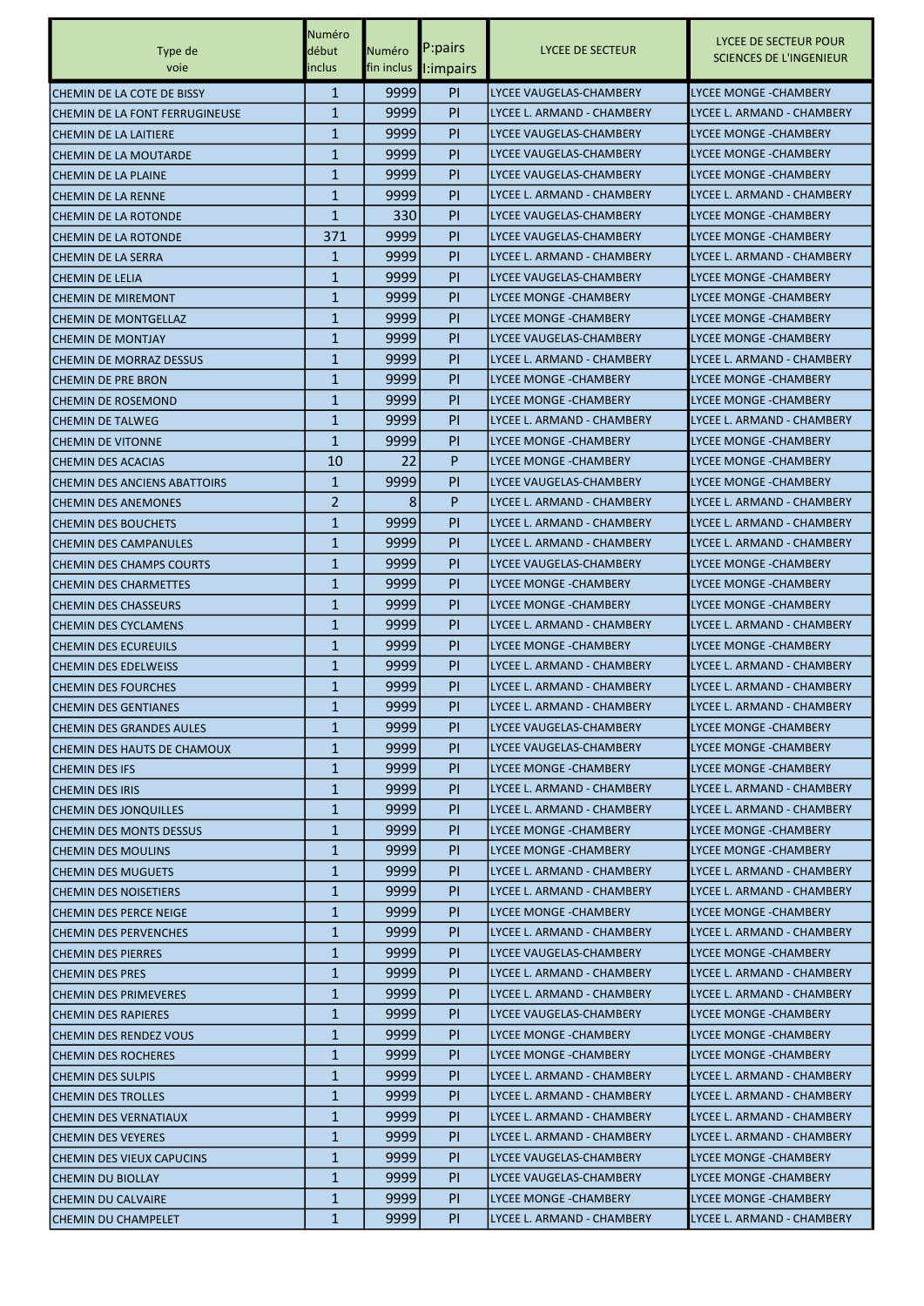|                                 | Numéro         |        |                       |                               |                                                         |
|---------------------------------|----------------|--------|-----------------------|-------------------------------|---------------------------------------------------------|
| Type de                         | début          | Numéro | P:pairs               | LYCEE DE SECTEUR              | LYCEE DE SECTEUR POUR<br><b>SCIENCES DE L'INGENIEUR</b> |
| voie                            | inclus         |        | fin inclus l: impairs |                               |                                                         |
| CHEMIN DE LA COTE DE BISSY      | $\mathbf{1}$   | 9999   | PI.                   | LYCEE VAUGELAS-CHAMBERY       | LYCEE MONGE - CHAMBERY                                  |
| CHEMIN DE LA FONT FERRUGINEUSE  | $\mathbf{1}$   | 9999   | PI                    | LYCEE L. ARMAND - CHAMBERY    | LYCEE L. ARMAND - CHAMBERY                              |
| <b>CHEMIN DE LA LAITIERE</b>    | $\mathbf{1}$   | 9999   | P <sub>I</sub>        | LYCEE VAUGELAS-CHAMBERY       | LYCEE MONGE -CHAMBERY                                   |
| CHEMIN DE LA MOUTARDE           | $\mathbf{1}$   | 9999   | PI                    | LYCEE VAUGELAS-CHAMBERY       | LYCEE MONGE - CHAMBERY                                  |
| ICHEMIN DE LA PLAINE            | $\mathbf{1}$   | 9999   | P <sub>I</sub>        | LYCEE VAUGELAS-CHAMBERY       | LYCEE MONGE - CHAMBERY                                  |
| CHEMIN DE LA RENNE              | $\mathbf{1}$   | 9999   | P <sub>I</sub>        | LYCEE L. ARMAND - CHAMBERY    | LYCEE L. ARMAND - CHAMBERY                              |
| CHEMIN DE LA ROTONDE            | $\mathbf{1}$   | 330    | PI                    | LYCEE VAUGELAS-CHAMBERY       | <b>LYCEE MONGE - CHAMBERY</b>                           |
| <b>CHEMIN DE LA ROTONDE</b>     | 371            | 9999   | P <sub>I</sub>        | LYCEE VAUGELAS-CHAMBERY       | LYCEE MONGE - CHAMBERY                                  |
| ICHEMIN DE LA SERRA             | $\mathbf{1}$   | 9999   | PI                    | LYCEE L. ARMAND - CHAMBERY    | LYCEE L. ARMAND - CHAMBERY                              |
| CHEMIN DE LELIA                 | 1              | 9999   | P <sub>I</sub>        | LYCEE VAUGELAS-CHAMBERY       | LYCEE MONGE - CHAMBERY                                  |
| <b>CHEMIN DE MIREMONT</b>       | $\mathbf{1}$   | 9999   | P <sub>I</sub>        | LYCEE MONGE - CHAMBERY        | LYCEE MONGE - CHAMBERY                                  |
| <b>CHEMIN DE MONTGELLAZ</b>     | $\mathbf{1}$   | 9999   | P <sub>I</sub>        | LYCEE MONGE - CHAMBERY        | <b>LYCEE MONGE - CHAMBERY</b>                           |
| <b>CHEMIN DE MONTJAY</b>        | $\mathbf{1}$   | 9999   | P <sub>I</sub>        | LYCEE VAUGELAS-CHAMBERY       | LYCEE MONGE -CHAMBERY                                   |
| <b>CHEMIN DE MORRAZ DESSUS</b>  | $\mathbf{1}$   | 9999   | PI                    | LYCEE L. ARMAND - CHAMBERY    | LYCEE L. ARMAND - CHAMBERY                              |
| ICHEMIN DE PRE BRON             | $\mathbf{1}$   | 9999   | P <sub>I</sub>        | LYCEE MONGE - CHAMBERY        | <b>LYCEE MONGE - CHAMBERY</b>                           |
| <b>CHEMIN DE ROSEMOND</b>       | $\mathbf{1}$   | 9999   | PI                    | <b>LYCEE MONGE - CHAMBERY</b> | <b>LYCEE MONGE - CHAMBERY</b>                           |
| <b>CHEMIN DE TALWEG</b>         | $\mathbf{1}$   | 9999   | P <sub>I</sub>        | LYCEE L. ARMAND - CHAMBERY    | LYCEE L. ARMAND - CHAMBERY                              |
| <b>CHEMIN DE VITONNE</b>        | $\mathbf{1}$   | 9999   | P <sub>I</sub>        | LYCEE MONGE - CHAMBERY        | LYCEE MONGE -CHAMBERY                                   |
| <b>CHEMIN DES ACACIAS</b>       | 10             | 22     | P                     | LYCEE MONGE - CHAMBERY        | LYCEE MONGE - CHAMBERY                                  |
| CHEMIN DES ANCIENS ABATTOIRS    | $\mathbf{1}$   | 9999   | P <sub>I</sub>        | LYCEE VAUGELAS-CHAMBERY       | LYCEE MONGE - CHAMBERY                                  |
| <b>CHEMIN DES ANEMONES</b>      | $\overline{2}$ | 8      | P                     | LYCEE L. ARMAND - CHAMBERY    | LYCEE L. ARMAND - CHAMBERY                              |
| <b>CHEMIN DES BOUCHETS</b>      | $\mathbf{1}$   | 9999   | P <sub>I</sub>        | LYCEE L. ARMAND - CHAMBERY    | LYCEE L. ARMAND - CHAMBERY                              |
| <b>CHEMIN DES CAMPANULES</b>    | $\mathbf{1}$   | 9999   | PI                    | LYCEE L. ARMAND - CHAMBERY    | LYCEE L. ARMAND - CHAMBERY                              |
| CHEMIN DES CHAMPS COURTS        | $\mathbf{1}$   | 9999   | PI                    | LYCEE VAUGELAS-CHAMBERY       | LYCEE MONGE - CHAMBERY                                  |
| ICHEMIN DES CHARMETTES          | 1              | 9999   | P <sub>I</sub>        | LYCEE MONGE - CHAMBERY        | LYCEE MONGE - CHAMBERY                                  |
| ICHEMIN DES CHASSEURS           | $\mathbf{1}$   | 9999   | PI                    | LYCEE MONGE - CHAMBERY        | LYCEE MONGE - CHAMBERY                                  |
| <b>CHEMIN DES CYCLAMENS</b>     | $\mathbf{1}$   | 9999   | PI                    | LYCEE L. ARMAND - CHAMBERY    | LYCEE L. ARMAND - CHAMBERY                              |
| <b>CHEMIN DES ECUREUILS</b>     | $\mathbf{1}$   | 9999   | P <sub>I</sub>        | <b>LYCEE MONGE - CHAMBERY</b> | <b>LYCEE MONGE -CHAMBERY</b>                            |
| <b>CHEMIN DES EDELWEISS</b>     | $\mathbf{1}$   | 9999   | PI                    | LYCEE L. ARMAND - CHAMBERY    | LYCEE L. ARMAND - CHAMBERY                              |
| <b>CHEMIN DES FOURCHES</b>      | 1              | 9999   | P <sub>I</sub>        | LYCEE L. ARMAND - CHAMBERY    | LYCEE L. ARMAND - CHAMBERY                              |
| ICHEMIN DES GENTIANES           | $\mathbf{1}$   | 9999   | PI                    | LYCEE L. ARMAND - CHAMBERY    | LYCEE L. ARMAND - CHAMBERY                              |
| <b>CHEMIN DES GRANDES AULES</b> | $\mathbf{1}$   | 9999   | PI.                   | LYCEE VAUGELAS-CHAMBERY       | LYCEE MONGE - CHAMBERY                                  |
| CHEMIN DES HAUTS DE CHAMOUX     | 1              | 9999   | P <sub>I</sub>        | LYCEE VAUGELAS-CHAMBERY       | <b>LYCEE MONGE - CHAMBERY</b>                           |
| <b>CHEMIN DES IFS</b>           | $\mathbf{1}$   | 9999   | P <sub>I</sub>        | <b>LYCEE MONGE - CHAMBERY</b> | <b>LYCEE MONGE - CHAMBERY</b>                           |
| <b>CHEMIN DES IRIS</b>          | 1              | 9999   | PI.                   | LYCEE L. ARMAND - CHAMBERY    | LYCEE L. ARMAND - CHAMBERY                              |
| <b>CHEMIN DES JONQUILLES</b>    | 1              | 9999   | P <sub>I</sub>        | LYCEE L. ARMAND - CHAMBERY    | LYCEE L. ARMAND - CHAMBERY                              |
| <b>CHEMIN DES MONTS DESSUS</b>  | $\mathbf{1}$   | 9999   | PI.                   | LYCEE MONGE - CHAMBERY        | LYCEE MONGE - CHAMBERY                                  |
| <b>CHEMIN DES MOULINS</b>       | $\mathbf{1}$   | 9999   | P <sub>I</sub>        | <b>LYCEE MONGE - CHAMBERY</b> | <b>LYCEE MONGE -CHAMBERY</b>                            |
| <b>CHEMIN DES MUGUETS</b>       | $\mathbf{1}$   | 9999   | P <sub>I</sub>        | LYCEE L. ARMAND - CHAMBERY    | LYCEE L. ARMAND - CHAMBERY                              |
| <b>CHEMIN DES NOISETIERS</b>    | 1              | 9999   | PI.                   | LYCEE L. ARMAND - CHAMBERY    | LYCEE L. ARMAND - CHAMBERY                              |
| CHEMIN DES PERCE NEIGE          | 1              | 9999   | P <sub>I</sub>        | LYCEE MONGE -CHAMBERY         | LYCEE MONGE - CHAMBERY                                  |
| <b>CHEMIN DES PERVENCHES</b>    | $\mathbf{1}$   | 9999   | PI                    | LYCEE L. ARMAND - CHAMBERY    | LYCEE L. ARMAND - CHAMBERY                              |
| <b>CHEMIN DES PIERRES</b>       | $\mathbf{1}$   | 9999   | P <sub>I</sub>        | LYCEE VAUGELAS-CHAMBERY       | <b>LYCEE MONGE -CHAMBERY</b>                            |
| <b>CHEMIN DES PRES</b>          | 1              | 9999   | P <sub>I</sub>        | LYCEE L. ARMAND - CHAMBERY    | LYCEE L. ARMAND - CHAMBERY                              |
| <b>CHEMIN DES PRIMEVERES</b>    | 1              | 9999   | PI.                   | LYCEE L. ARMAND - CHAMBERY    | LYCEE L. ARMAND - CHAMBERY                              |
| <b>CHEMIN DES RAPIERES</b>      | 1              | 9999   | PI.                   | LYCEE VAUGELAS-CHAMBERY       | LYCEE MONGE - CHAMBERY                                  |
| CHEMIN DES RENDEZ VOUS          | $\mathbf{1}$   | 9999   | PI.                   | LYCEE MONGE - CHAMBERY        | LYCEE MONGE - CHAMBERY                                  |
| <b>CHEMIN DES ROCHERES</b>      | $\mathbf{1}$   | 9999   | P <sub>I</sub>        | LYCEE MONGE - CHAMBERY        | LYCEE MONGE - CHAMBERY                                  |
| <b>CHEMIN DES SULPIS</b>        | $\mathbf{1}$   | 9999   | P <sub>I</sub>        | LYCEE L. ARMAND - CHAMBERY    | LYCEE L. ARMAND - CHAMBERY                              |
| <b>CHEMIN DES TROLLES</b>       | 1              | 9999   | PI.                   | LYCEE L. ARMAND - CHAMBERY    | LYCEE L. ARMAND - CHAMBERY                              |
| <b>CHEMIN DES VERNATIAUX</b>    | 1              | 9999   | P <sub>I</sub>        | LYCEE L. ARMAND - CHAMBERY    | LYCEE L. ARMAND - CHAMBERY                              |
| <b>CHEMIN DES VEYERES</b>       | $\mathbf{1}$   | 9999   | PI                    | LYCEE L. ARMAND - CHAMBERY    | LYCEE L. ARMAND - CHAMBERY                              |
| CHEMIN DES VIEUX CAPUCINS       | $\mathbf{1}$   | 9999   | P <sub>I</sub>        | LYCEE VAUGELAS-CHAMBERY       | <b>LYCEE MONGE -CHAMBERY</b>                            |
| <b>CHEMIN DU BIOLLAY</b>        | $\mathbf{1}$   | 9999   | P <sub>I</sub>        | LYCEE VAUGELAS-CHAMBERY       | LYCEE MONGE - CHAMBERY                                  |
| CHEMIN DU CALVAIRE              | $\mathbf{1}$   | 9999   | PI.                   | LYCEE MONGE - CHAMBERY        | LYCEE MONGE - CHAMBERY                                  |
| <b>CHEMIN DU CHAMPELET</b>      | $\mathbf{1}$   | 9999   | PI                    | LYCEE L. ARMAND - CHAMBERY    | LYCEE L. ARMAND - CHAMBERY                              |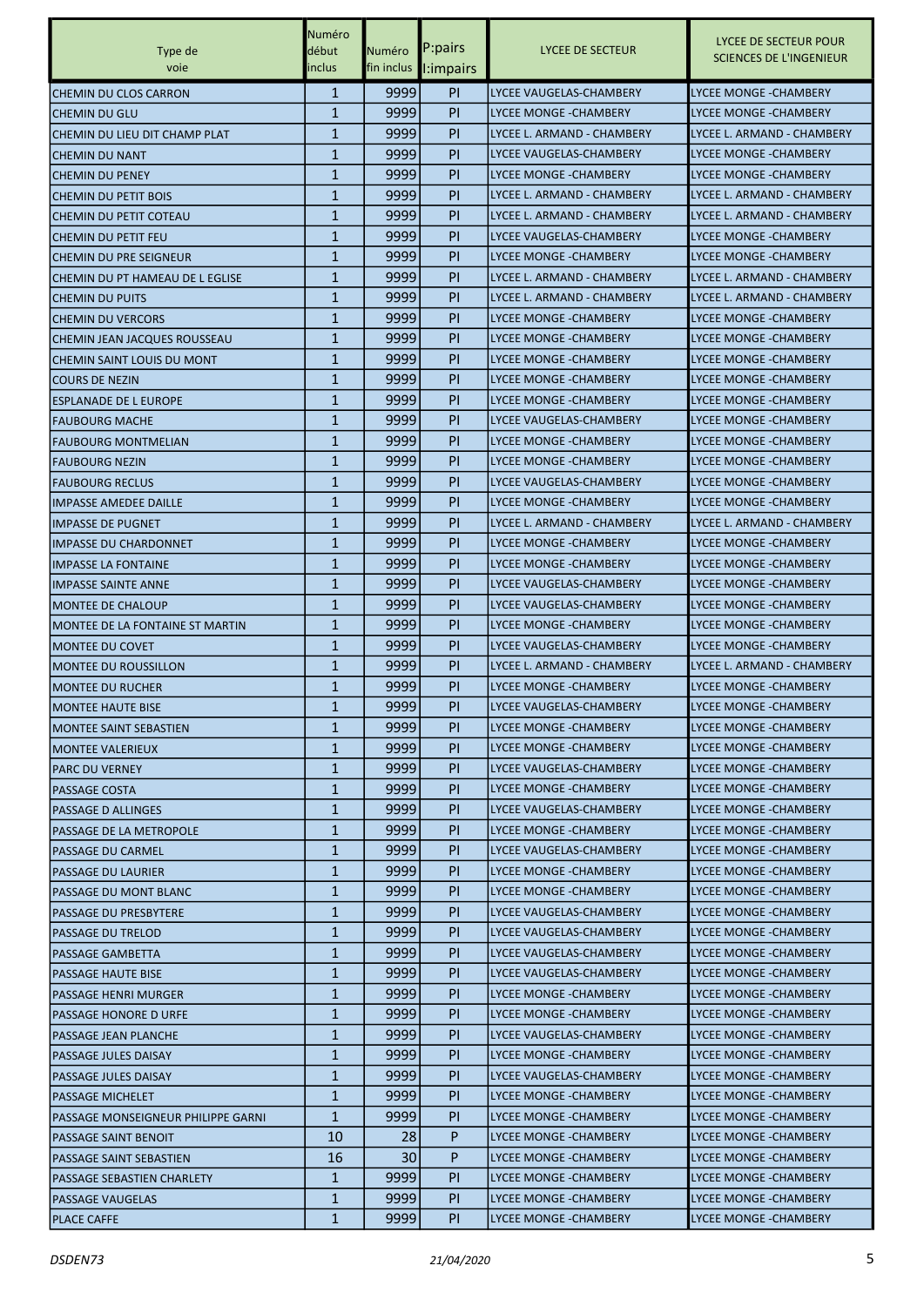|                                    | Numéro                      |              |                        |                               | LYCEE DE SECTEUR POUR                               |
|------------------------------------|-----------------------------|--------------|------------------------|-------------------------------|-----------------------------------------------------|
| Type de                            | début                       | Numéro       | P:pairs                | LYCEE DE SECTEUR              | <b>SCIENCES DE L'INGENIEUR</b>                      |
| voie                               | inclus                      |              | fin inclus l:impairs   |                               |                                                     |
| <b>CHEMIN DU CLOS CARRON</b>       | $\mathbf{1}$                | 9999         | <b>PI</b>              | LYCEE VAUGELAS-CHAMBERY       | <b>LYCEE MONGE - CHAMBERY</b>                       |
| <b>CHEMIN DU GLU</b>               | 1                           | 9999         | PI                     | LYCEE MONGE - CHAMBERY        | LYCEE MONGE - CHAMBERY                              |
| ICHEMIN DU LIEU DIT CHAMP PLAT     | 1                           | 9999         | <b>PI</b>              | LYCEE L. ARMAND - CHAMBERY    | LYCEE L. ARMAND - CHAMBERY                          |
| <b>CHEMIN DU NANT</b>              | $\mathbf{1}$                | 9999         | <b>PI</b>              | LYCEE VAUGELAS-CHAMBERY       | LYCEE MONGE -CHAMBERY                               |
| ICHEMIN DU PENEY                   | 1                           | 9999         | PI                     | LYCEE MONGE - CHAMBERY        | <b>LYCEE MONGE -CHAMBERY</b>                        |
| <b>CHEMIN DU PETIT BOIS</b>        | 1                           | 9999         | PI                     | LYCEE L. ARMAND - CHAMBERY    | LYCEE L. ARMAND - CHAMBERY                          |
| ICHEMIN DU PETIT COTEAU            | 1                           | 9999         | PI                     | LYCEE L. ARMAND - CHAMBERY    | LYCEE L. ARMAND - CHAMBERY                          |
| CHEMIN DU PETIT FEU                | $\mathbf{1}$                | 9999         | PI                     | LYCEE VAUGELAS-CHAMBERY       | <b>LYCEE MONGE - CHAMBERY</b>                       |
| <b>CHEMIN DU PRE SEIGNEUR</b>      | 1                           | 9999         | PI                     | LYCEE MONGE - CHAMBERY        | LYCEE MONGE -CHAMBERY                               |
| CHEMIN DU PT HAMEAU DE L EGLISE    | 1                           | 9999         | PI                     | LYCEE L. ARMAND - CHAMBERY    | LYCEE L. ARMAND - CHAMBERY                          |
| <b>CHEMIN DU PUITS</b>             | 1                           | 9999         | <b>PI</b>              | LYCEE L. ARMAND - CHAMBERY    | LYCEE L. ARMAND - CHAMBERY                          |
| ICHEMIN DU VERCORS                 | 1                           | 9999         | PI                     | LYCEE MONGE - CHAMBERY        | LYCEE MONGE - CHAMBERY                              |
| CHEMIN JEAN JACQUES ROUSSEAU       | $\mathbf 1$                 | 9999         | <b>PI</b>              | LYCEE MONGE - CHAMBERY        | <b>LYCEE MONGE - CHAMBERY</b>                       |
| CHEMIN SAINT LOUIS DU MONT         | $\mathbf{1}$                | 9999         | <b>PI</b>              | <b>LYCEE MONGE - CHAMBERY</b> | LYCEE MONGE - CHAMBERY                              |
| <b>COURS DE NEZIN</b>              | 1                           | 9999         | PI                     | <b>LYCEE MONGE - CHAMBERY</b> | <b>LYCEE MONGE - CHAMBERY</b>                       |
| IESPLANADE DE L EUROPE             | 1                           | 9999         | <b>PI</b>              | <b>LYCEE MONGE - CHAMBERY</b> | <b>LYCEE MONGE - CHAMBERY</b>                       |
| <b>FAUBOURG MACHE</b>              | 1                           | 9999         | PI                     | LYCEE VAUGELAS-CHAMBERY       | LYCEE MONGE - CHAMBERY                              |
| FAUBOURG MONTMELIAN                | $\mathbf{1}$                | 9999         | PI                     | <b>LYCEE MONGE - CHAMBERY</b> | LYCEE MONGE -CHAMBERY                               |
| <b>FAUBOURG NEZIN</b>              | $\mathbf{1}$                | 9999         | <b>PI</b>              | LYCEE MONGE - CHAMBERY        | <b>LYCEE MONGE - CHAMBERY</b>                       |
| <b>FAUBOURG RECLUS</b>             | 1                           | 9999         | PI                     | LYCEE VAUGELAS-CHAMBERY       | <b>LYCEE MONGE -CHAMBERY</b>                        |
| <b>IMPASSE AMEDEE DAILLE</b>       | 1                           | 9999         | <b>PI</b>              | <b>LYCEE MONGE - CHAMBERY</b> | LYCEE MONGE -CHAMBERY                               |
| <b>IMPASSE DE PUGNET</b>           | 1                           | 9999         | PI                     | LYCEE L. ARMAND - CHAMBERY    | LYCEE L. ARMAND - CHAMBERY                          |
|                                    | $\mathbf{1}$                | 9999         | <b>PI</b>              | LYCEE MONGE - CHAMBERY        | <b>LYCEE MONGE - CHAMBERY</b>                       |
| IIMPASSE DU CHARDONNET             | $\mathbf{1}$                | 9999         | <b>PI</b>              |                               |                                                     |
| <b>IMPASSE LA FONTAINE</b>         |                             |              |                        | LYCEE MONGE - CHAMBERY        | LYCEE MONGE - CHAMBERY                              |
| <b>IMPASSE SAINTE ANNE</b>         | $\mathbf{1}$                | 9999         | <b>PI</b>              | LYCEE VAUGELAS-CHAMBERY       | <b>LYCEE MONGE -CHAMBERY</b>                        |
| <b>MONTEE DE CHALOUP</b>           | 1                           | 9999         | <b>PI</b>              | LYCEE VAUGELAS-CHAMBERY       | <b>LYCEE MONGE - CHAMBERY</b>                       |
| MONTEE DE LA FONTAINE ST MARTIN    | 1                           | 9999         | PI                     | <b>LYCEE MONGE - CHAMBERY</b> | LYCEE MONGE - CHAMBERY                              |
| IMONTEE DU COVET                   | $\mathbf 1$<br>$\mathbf{1}$ | 9999<br>9999 | <b>PI</b><br><b>PI</b> | LYCEE VAUGELAS-CHAMBERY       | LYCEE MONGE -CHAMBERY<br>LYCEE L. ARMAND - CHAMBERY |
| <b>MONTEE DU ROUSSILLON</b>        |                             |              |                        | LYCEE L. ARMAND - CHAMBERY    |                                                     |
| <b>MONTEE DU RUCHER</b>            | 1                           | 9999         | PI                     | <b>LYCEE MONGE -CHAMBERY</b>  | <b>LYCEE MONGE - CHAMBERY</b>                       |
| <b>MONTEE HAUTE BISE</b>           | $\mathbf{1}$                | 9999         | PI                     | LYCEE VAUGELAS-CHAMBERY       | <b>LYCEE MONGE -CHAMBERY</b>                        |
| <b>MONTEE SAINT SEBASTIEN</b>      | $\mathbf{1}$                | 9999         | PI.                    | LYCEE MONGE -CHAMBERY         | LYCEE MONGE - CHAMBERY                              |
| <b>MONTEE VALERIEUX</b>            | 1                           | 9999         | <b>PI</b>              | <b>LYCEE MONGE - CHAMBERY</b> | <b>LYCEE MONGE - CHAMBERY</b>                       |
| PARC DU VERNEY                     | $\mathbf 1$                 | 9999         | PI.                    | LYCEE VAUGELAS-CHAMBERY       | LYCEE MONGE -CHAMBERY                               |
| <b>PASSAGE COSTA</b>               | 1                           | 9999         | PI.                    | LYCEE MONGE - CHAMBERY        | LYCEE MONGE - CHAMBERY                              |
| <b>PASSAGE D ALLINGES</b>          | $\mathbf{1}$                | 9999         | PI                     | LYCEE VAUGELAS-CHAMBERY       | LYCEE MONGE - CHAMBERY                              |
| PASSAGE DE LA METROPOLE            | 1                           | 9999         | PI.                    | <b>LYCEE MONGE - CHAMBERY</b> | LYCEE MONGE - CHAMBERY                              |
| <b>PASSAGE DU CARMEL</b>           | 1                           | 9999         | PI.                    | LYCEE VAUGELAS-CHAMBERY       | <b>LYCEE MONGE - CHAMBERY</b>                       |
| <b>PASSAGE DU LAURIER</b>          | 1                           | 99991        | PI.                    | LYCEE MONGE - CHAMBERY        | LYCEE MONGE - CHAMBERY                              |
| <b>PASSAGE DU MONT BLANC</b>       | 1                           | 9999         | PI.                    | LYCEE MONGE - CHAMBERY        | LYCEE MONGE - CHAMBERY                              |
| PASSAGE DU PRESBYTERE              | $\mathbf{1}$                | 9999         | PI                     | LYCEE VAUGELAS-CHAMBERY       | <b>LYCEE MONGE -CHAMBERY</b>                        |
| <b>PASSAGE DU TRELOD</b>           | 1                           | 9999         | PI.                    | LYCEE VAUGELAS-CHAMBERY       | LYCEE MONGE - CHAMBERY                              |
| PASSAGE GAMBETTA                   | 1                           | 9999         | <b>PI</b>              | LYCEE VAUGELAS-CHAMBERY       | LYCEE MONGE - CHAMBERY                              |
| <b>PASSAGE HAUTE BISE</b>          | 1                           | 99991        | PI.                    | LYCEE VAUGELAS-CHAMBERY       | LYCEE MONGE -CHAMBERY                               |
| PASSAGE HENRI MURGER               | 1                           | 9999         | PI.                    | LYCEE MONGE - CHAMBERY        | LYCEE MONGE -CHAMBERY                               |
| PASSAGE HONORE D URFE              | $\mathbf{1}$                | 9999         | PI                     | LYCEE MONGE - CHAMBERY        | LYCEE MONGE - CHAMBERY                              |
| <b>PASSAGE JEAN PLANCHE</b>        | 1                           | 9999         | PI.                    | LYCEE VAUGELAS-CHAMBERY       | LYCEE MONGE - CHAMBERY                              |
| IPASSAGE JULES DAISAY              | 1                           | 9999         | PI.                    | LYCEE MONGE - CHAMBERY        | LYCEE MONGE - CHAMBERY                              |
| <b>PASSAGE JULES DAISAY</b>        | 1                           | 99991        | PI.                    | LYCEE VAUGELAS-CHAMBERY       | LYCEE MONGE -CHAMBERY                               |
| <b>PASSAGE MICHELET</b>            | 1                           | 9999         | PI.                    | LYCEE MONGE - CHAMBERY        | LYCEE MONGE - CHAMBERY                              |
| PASSAGE MONSEIGNEUR PHILIPPE GARNI | $\mathbf{1}$                | 9999         | PI.                    | LYCEE MONGE - CHAMBERY        | LYCEE MONGE - CHAMBERY                              |
| <b>PASSAGE SAINT BENOIT</b>        | 10                          | 28           | P                      | LYCEE MONGE - CHAMBERY        | LYCEE MONGE - CHAMBERY                              |
| <b>PASSAGE SAINT SEBASTIEN</b>     | 16                          | 30           | P                      | LYCEE MONGE - CHAMBERY        | LYCEE MONGE - CHAMBERY                              |
| <b>PASSAGE SEBASTIEN CHARLETY</b>  | $\mathbf{1}$                | 9999         | PI.                    | LYCEE MONGE - CHAMBERY        | LYCEE MONGE -CHAMBERY                               |
| <b>PASSAGE VAUGELAS</b>            | 1                           | 9999         | PI.                    | LYCEE MONGE - CHAMBERY        | LYCEE MONGE -CHAMBERY                               |
| <b>PLACE CAFFE</b>                 | $\mathbf{1}$                | 9999         | PI.                    | LYCEE MONGE - CHAMBERY        | LYCEE MONGE - CHAMBERY                              |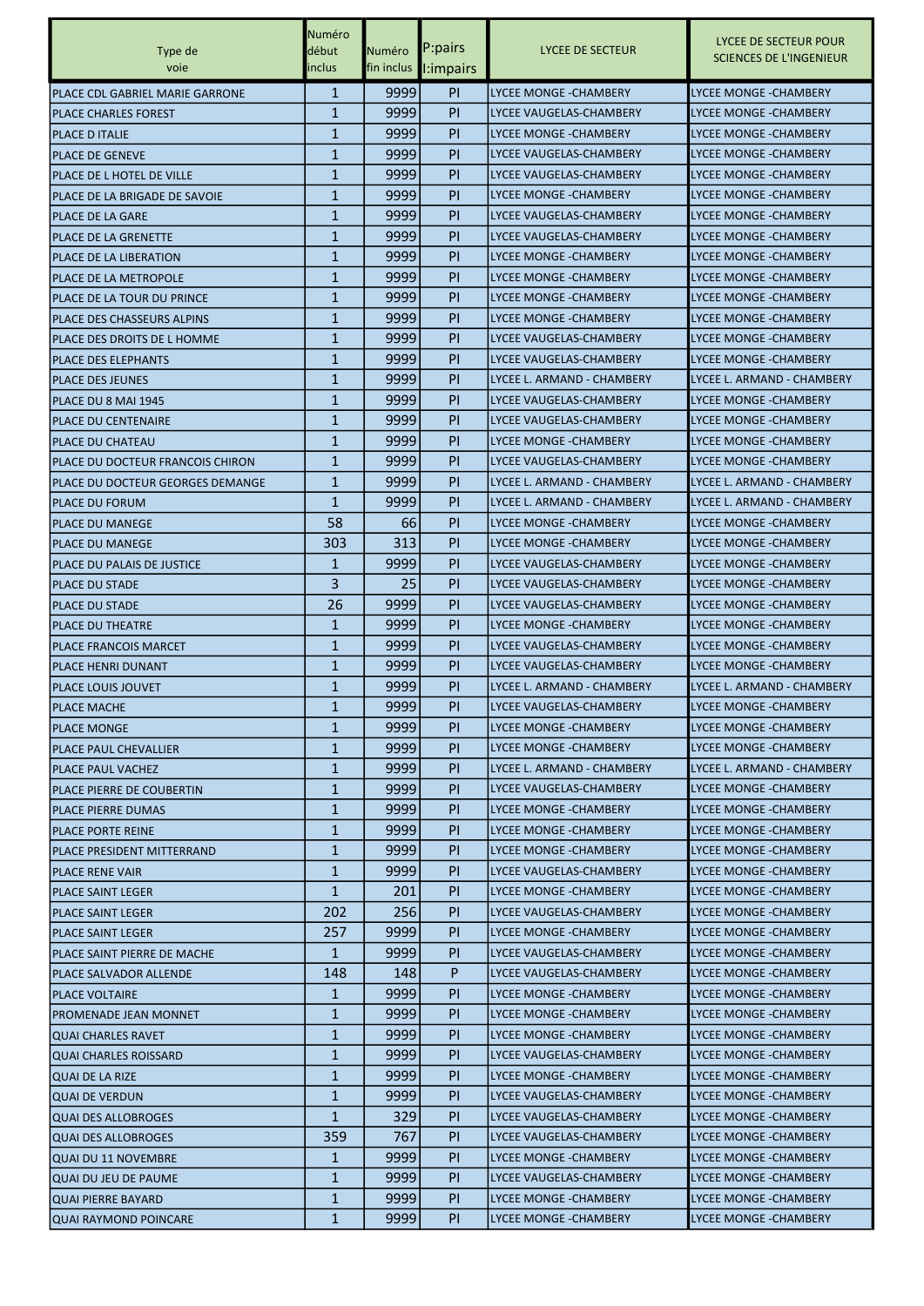|                                                        | Numéro            |              |                       |                                                   |                                                         |
|--------------------------------------------------------|-------------------|--------------|-----------------------|---------------------------------------------------|---------------------------------------------------------|
| Type de                                                | début             | Numéro       | P:pairs               | LYCEE DE SECTEUR                                  | LYCEE DE SECTEUR POUR<br><b>SCIENCES DE L'INGENIEUR</b> |
| voie                                                   | inclus            |              | fin inclus l: impairs |                                                   |                                                         |
| PLACE CDL GABRIEL MARIE GARRONE                        | $\mathbf{1}$      | 9999         | <b>PI</b>             | LYCEE MONGE - CHAMBERY                            | LYCEE MONGE - CHAMBERY                                  |
| <b>PLACE CHARLES FOREST</b>                            | $\mathbf{1}$      | 9999         | PI                    | LYCEE VAUGELAS-CHAMBERY                           | <b>LYCEE MONGE - CHAMBERY</b>                           |
| <b>PLACE D ITALIE</b>                                  | $\mathbf{1}$      | 9999         | <b>PI</b>             | <b>LYCEE MONGE - CHAMBERY</b>                     | <b>LYCEE MONGE - CHAMBERY</b>                           |
| <b>PLACE DE GENEVE</b>                                 | $\mathbf{1}$      | 9999         | PI                    | LYCEE VAUGELAS-CHAMBERY                           | <b>LYCEE MONGE - CHAMBERY</b>                           |
| PLACE DE L HOTEL DE VILLE                              | $\mathbf{1}$      | 9999         | PI                    | LYCEE VAUGELAS-CHAMBERY                           | LYCEE MONGE - CHAMBERY                                  |
| PLACE DE LA BRIGADE DE SAVOIE                          | $\mathbf{1}$      | 9999         | PI                    | LYCEE MONGE - CHAMBERY                            | <b>LYCEE MONGE - CHAMBERY</b>                           |
| <b>PLACE DE LA GARE</b>                                | $\mathbf{1}$      | 9999         | <b>PI</b>             | LYCEE VAUGELAS-CHAMBERY                           | LYCEE MONGE -CHAMBERY                                   |
| <b>PLACE DE LA GRENETTE</b>                            | $\mathbf{1}$      | 9999         | <b>PI</b>             | LYCEE VAUGELAS-CHAMBERY                           | <b>LYCEE MONGE -CHAMBERY</b>                            |
| PLACE DE LA LIBERATION                                 | $\mathbf{1}$      | 9999         | PI                    | <b>LYCEE MONGE - CHAMBERY</b>                     | <b>LYCEE MONGE - CHAMBERY</b>                           |
| IPLACE DE LA METROPOLE                                 | 1                 | 9999         | PI                    | LYCEE MONGE - CHAMBERY                            | LYCEE MONGE - CHAMBERY                                  |
| IPLACE DE LA TOUR DU PRINCE                            | $\mathbf{1}$      | 9999         | PI                    | LYCEE MONGE - CHAMBERY                            | <b>LYCEE MONGE - CHAMBERY</b>                           |
| PLACE DES CHASSEURS ALPINS                             | $\mathbf{1}$      | 9999         | <b>PI</b>             | LYCEE MONGE - CHAMBERY                            | LYCEE MONGE -CHAMBERY                                   |
| PLACE DES DROITS DE L HOMME                            | $\mathbf{1}$      | 9999         | <b>PI</b>             | LYCEE VAUGELAS-CHAMBERY                           | <b>LYCEE MONGE -CHAMBERY</b>                            |
| <b>PLACE DES ELEPHANTS</b>                             | $\mathbf{1}$      | 9999         | PI                    | LYCEE VAUGELAS-CHAMBERY                           | <b>LYCEE MONGE - CHAMBERY</b>                           |
| <b>PLACE DES JEUNES</b>                                | $\mathbf{1}$      | 9999         | PI                    | LYCEE L. ARMAND - CHAMBERY                        | LYCEE L. ARMAND - CHAMBERY                              |
| PLACE DU 8 MAI 1945                                    | $\mathbf{1}$      | 9999         | PI                    | LYCEE VAUGELAS-CHAMBERY                           | <b>LYCEE MONGE - CHAMBERY</b>                           |
| <b>PLACE DU CENTENAIRE</b>                             | $\mathbf{1}$      | 9999         | <b>PI</b>             | LYCEE VAUGELAS-CHAMBERY                           | LYCEE MONGE - CHAMBERY                                  |
| <b>PLACE DU CHATEAU</b>                                | $\mathbf{1}$      | 9999         | <b>PI</b>             | LYCEE MONGE - CHAMBERY                            | <b>LYCEE MONGE -CHAMBERY</b>                            |
| PLACE DU DOCTEUR FRANCOIS CHIRON                       | $\mathbf{1}$      | 9999         | PI                    | LYCEE VAUGELAS-CHAMBERY                           | <b>LYCEE MONGE -CHAMBERY</b>                            |
| IPLACE DU DOCTEUR GEORGES DEMANGE                      | $\mathbf{1}$      | 9999         | PI                    | LYCEE L. ARMAND - CHAMBERY                        | LYCEE L. ARMAND - CHAMBERY                              |
| <b>PLACE DU FORUM</b>                                  | $\mathbf{1}$      | 9999         | PI                    | LYCEE L. ARMAND - CHAMBERY                        | LYCEE L. ARMAND - CHAMBERY                              |
| <b>PLACE DU MANEGE</b>                                 | 58                | 66           | <b>PI</b>             | LYCEE MONGE - CHAMBERY                            | <b>LYCEE MONGE - CHAMBERY</b>                           |
| <b>PLACE DU MANEGE</b>                                 | 303               | 313          | <b>PI</b>             | LYCEE MONGE - CHAMBERY                            | <b>LYCEE MONGE - CHAMBERY</b>                           |
| PLACE DU PALAIS DE JUSTICE                             | 1                 | 9999         | PI                    | LYCEE VAUGELAS-CHAMBERY                           | <b>LYCEE MONGE -CHAMBERY</b>                            |
| <b>PLACE DU STADE</b>                                  | 3                 | 25           | PI                    | LYCEE VAUGELAS-CHAMBERY                           | LYCEE MONGE - CHAMBERY                                  |
| IPLACE DU STADE                                        | 26                | 9999         | PI                    | LYCEE VAUGELAS-CHAMBERY                           | <b>LYCEE MONGE - CHAMBERY</b>                           |
| <b>PLACE DU THEATRE</b>                                | $\mathbf{1}$      | 9999         | <b>PI</b>             | LYCEE MONGE - CHAMBERY                            | <b>LYCEE MONGE - CHAMBERY</b>                           |
| PLACE FRANCOIS MARCET                                  | $\mathbf{1}$      | 9999         | <b>PI</b>             | LYCEE VAUGELAS-CHAMBERY                           | <b>LYCEE MONGE -CHAMBERY</b>                            |
| IPLACE HENRI DUNANT                                    | $\mathbf{1}$      | 9999         | <b>PI</b>             | LYCEE VAUGELAS-CHAMBERY                           | <b>LYCEE MONGE - CHAMBERY</b>                           |
| IPLACE LOUIS JOUVET                                    | 1                 | 9999         | PI                    | LYCEE L. ARMAND - CHAMBERY                        | LYCEE L. ARMAND - CHAMBERY                              |
| <b>PLACE MACHE</b>                                     | $\mathbf{1}$      | 9999         | PI                    | LYCEE VAUGELAS-CHAMBERY                           | <b>LYCEE MONGE - CHAMBERY</b>                           |
| <b>PLACE MONGE</b>                                     | $\mathbf{1}$      | 99991        | PI.                   | LYCEE MONGE -CHAMBERY                             | LYCEE MONGE - CHAMBERY                                  |
| <b>PLACE PAUL CHEVALLIER</b>                           | $\mathbf{1}$      | 9999         | PI                    | LYCEE MONGE - CHAMBERY                            | LYCEE MONGE - CHAMBERY                                  |
| PLACE PAUL VACHEZ                                      | $\mathbf{1}$      | 9999         | P <sub>I</sub>        | LYCEE L. ARMAND - CHAMBERY                        | LYCEE L. ARMAND - CHAMBERY                              |
|                                                        | 1                 | 9999         | PI.                   | LYCEE VAUGELAS-CHAMBERY                           | LYCEE MONGE - CHAMBERY                                  |
| PLACE PIERRE DE COUBERTIN<br><b>PLACE PIERRE DUMAS</b> | 1                 | 9999         | <b>PI</b>             | LYCEE MONGE - CHAMBERY                            | LYCEE MONGE - CHAMBERY                                  |
| <b>PLACE PORTE REINE</b>                               | $\mathbf{1}$      | 9999         | PI.                   | LYCEE MONGE - CHAMBERY                            | LYCEE MONGE - CHAMBERY                                  |
| PLACE PRESIDENT MITTERRAND                             | $\mathbf{1}$      | 9999         | PI.                   | LYCEE MONGE - CHAMBERY                            | <b>LYCEE MONGE - CHAMBERY</b>                           |
| <b>PLACE RENE VAIR</b>                                 | $\mathbf{1}$      | 9999         | PI.                   | LYCEE VAUGELAS-CHAMBERY                           | <b>LYCEE MONGE -CHAMBERY</b>                            |
|                                                        | $\mathbf{1}$      | 201          |                       | LYCEE MONGE - CHAMBERY                            | LYCEE MONGE - CHAMBERY                                  |
| <b>PLACE SAINT LEGER</b>                               |                   | 256          | PI.<br><b>PI</b>      | LYCEE VAUGELAS-CHAMBERY                           | LYCEE MONGE - CHAMBERY                                  |
| <b>PLACE SAINT LEGER</b><br><b>PLACE SAINT LEGER</b>   | 202<br>257        | 9999         | PI.                   | LYCEE MONGE - CHAMBERY                            | LYCEE MONGE - CHAMBERY                                  |
| PLACE SAINT PIERRE DE MACHE                            | $\mathbf{1}$      | 9999         | PI                    | LYCEE VAUGELAS-CHAMBERY                           | LYCEE MONGE - CHAMBERY                                  |
|                                                        | 148               | 148          | P                     | LYCEE VAUGELAS-CHAMBERY                           | LYCEE MONGE - CHAMBERY                                  |
| PLACE SALVADOR ALLENDE                                 | $\mathbf{1}$      | 9999         | PI.                   | LYCEE MONGE - CHAMBERY                            | LYCEE MONGE - CHAMBERY                                  |
| <b>PLACE VOLTAIRE</b>                                  | 1                 | 9999         | PI.                   | LYCEE MONGE - CHAMBERY                            | LYCEE MONGE - CHAMBERY                                  |
| <b>PROMENADE JEAN MONNET</b>                           | $\mathbf{1}$      | 9999         | PI.                   | LYCEE MONGE - CHAMBERY                            | LYCEE MONGE - CHAMBERY                                  |
| QUAI CHARLES RAVET                                     | $\mathbf{1}$      |              | PI                    |                                                   |                                                         |
| QUAI CHARLES ROISSARD<br><b>QUAI DE LA RIZE</b>        | $\mathbf{1}$      | 9999<br>9999 | P <sub>I</sub>        | LYCEE VAUGELAS-CHAMBERY<br>LYCEE MONGE - CHAMBERY | LYCEE MONGE - CHAMBERY<br><b>LYCEE MONGE -CHAMBERY</b>  |
|                                                        |                   | 9999         |                       | LYCEE VAUGELAS-CHAMBERY                           | LYCEE MONGE - CHAMBERY                                  |
| <b>QUAI DE VERDUN</b>                                  | 1<br>$\mathbf{1}$ | 329          | PI.<br>PI.            | LYCEE VAUGELAS-CHAMBERY                           | LYCEE MONGE - CHAMBERY                                  |
| <b>QUAI DES ALLOBROGES</b>                             |                   | 767          |                       |                                                   |                                                         |
| <b>QUAI DES ALLOBROGES</b>                             | 359               |              | PI.                   | LYCEE VAUGELAS-CHAMBERY                           | LYCEE MONGE - CHAMBERY                                  |
| QUAI DU 11 NOVEMBRE                                    | $\mathbf{1}$      | 9999         | <b>PI</b>             | LYCEE MONGE - CHAMBERY                            | LYCEE MONGE - CHAMBERY                                  |
| QUAI DU JEU DE PAUME                                   | $\mathbf{1}$      | 9999         | P <sub>I</sub>        | LYCEE VAUGELAS-CHAMBERY                           | LYCEE MONGE - CHAMBERY                                  |
| <b>QUAI PIERRE BAYARD</b>                              | 1                 | 9999         | PI.                   | LYCEE MONGE - CHAMBERY                            | LYCEE MONGE - CHAMBERY                                  |
| QUAI RAYMOND POINCARE                                  | $\mathbf{1}$      | 9999         | PI.                   | LYCEE MONGE - CHAMBERY                            | LYCEE MONGE - CHAMBERY                                  |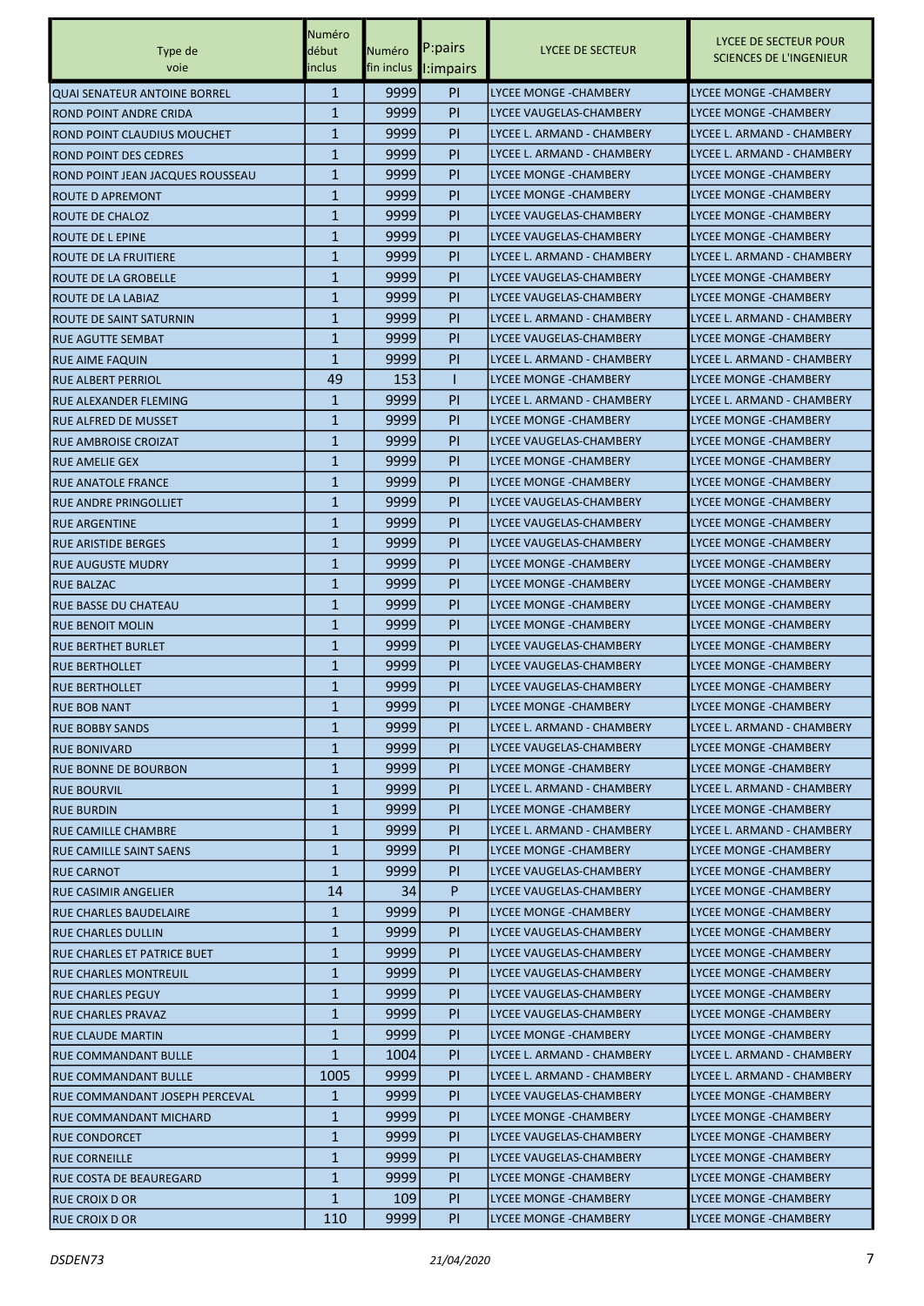|                                                             | Numéro       |            |                      |                               |                                                         |
|-------------------------------------------------------------|--------------|------------|----------------------|-------------------------------|---------------------------------------------------------|
| Type de                                                     | début        | Numéro     | P:pairs              | LYCEE DE SECTEUR              | LYCEE DE SECTEUR POUR<br><b>SCIENCES DE L'INGENIEUR</b> |
| voie                                                        | inclus       |            | fin inclus l:impairs |                               |                                                         |
| <b>QUAI SENATEUR ANTOINE BORREL</b>                         | $\mathbf{1}$ | 9999       | P <sub>I</sub>       | <b>LYCEE MONGE - CHAMBERY</b> | <b>LYCEE MONGE - CHAMBERY</b>                           |
| IROND POINT ANDRE CRIDA                                     | $\mathbf{1}$ | 9999       | PI                   | LYCEE VAUGELAS-CHAMBERY       | <b>LYCEE MONGE -CHAMBERY</b>                            |
| ROND POINT CLAUDIUS MOUCHET                                 | $\mathbf{1}$ | 9999       | PI                   | LYCEE L. ARMAND - CHAMBERY    | LYCEE L. ARMAND - CHAMBERY                              |
| <b>ROND POINT DES CEDRES</b>                                | $\mathbf{1}$ | 9999       | PI                   | LYCEE L. ARMAND - CHAMBERY    | LYCEE L. ARMAND - CHAMBERY                              |
| ROND POINT JEAN JACQUES ROUSSEAU                            | $\mathbf{1}$ | 9999       | PI                   | <b>LYCEE MONGE -CHAMBERY</b>  | LYCEE MONGE -CHAMBERY                                   |
| <b>ROUTE D APREMONT</b>                                     | $\mathbf{1}$ | 9999       | P <sub>I</sub>       | <b>LYCEE MONGE -CHAMBERY</b>  | <b>LYCEE MONGE - CHAMBERY</b>                           |
| ROUTE DE CHALOZ                                             | $\mathbf{1}$ | 9999       | P <sub>I</sub>       | LYCEE VAUGELAS-CHAMBERY       | <b>LYCEE MONGE - CHAMBERY</b>                           |
| <b>ROUTE DE L EPINE</b>                                     | $\mathbf{1}$ | 9999       | PI                   | LYCEE VAUGELAS-CHAMBERY       | <b>LYCEE MONGE - CHAMBERY</b>                           |
| ROUTE DE LA FRUITIERE                                       | $\mathbf{1}$ | 9999       | P <sub>I</sub>       | LYCEE L. ARMAND - CHAMBERY    | LYCEE L. ARMAND - CHAMBERY                              |
| ROUTE DE LA GROBELLE                                        | $\mathbf{1}$ | 9999       | P <sub>I</sub>       | LYCEE VAUGELAS-CHAMBERY       | LYCEE MONGE -CHAMBERY                                   |
| ROUTE DE LA LABIAZ                                          | 1            | 9999       | P <sub>I</sub>       | LYCEE VAUGELAS-CHAMBERY       | LYCEE MONGE -CHAMBERY                                   |
| ROUTE DE SAINT SATURNIN                                     | $\mathbf{1}$ | 9999       | PI                   | LYCEE L. ARMAND - CHAMBERY    | LYCEE L. ARMAND - CHAMBERY                              |
| IRUE AGUTTE SEMBAT                                          | $\mathbf{1}$ | 9999       | PI                   | LYCEE VAUGELAS-CHAMBERY       | <b>LYCEE MONGE - CHAMBERY</b>                           |
| <b>RUE AIME FAQUIN</b>                                      | $\mathbf{1}$ | 9999       | PI                   | LYCEE L. ARMAND - CHAMBERY    | LYCEE L. ARMAND - CHAMBERY                              |
| <b>RUE ALBERT PERRIOL</b>                                   | 49           | 153        | 1                    | <b>LYCEE MONGE -CHAMBERY</b>  | LYCEE MONGE -CHAMBERY                                   |
|                                                             | 1            | 9999       | P <sub>I</sub>       | LYCEE L. ARMAND - CHAMBERY    | LYCEE L. ARMAND - CHAMBERY                              |
| <b>RUE ALEXANDER FLEMING</b><br><b>RUE ALFRED DE MUSSET</b> | 1            | 9999       | P <sub>I</sub>       | LYCEE MONGE -CHAMBERY         | <b>LYCEE MONGE - CHAMBERY</b>                           |
|                                                             | $\mathbf{1}$ | 9999       | PI                   | LYCEE VAUGELAS-CHAMBERY       | LYCEE MONGE -CHAMBERY                                   |
| <b>RUE AMBROISE CROIZAT</b>                                 |              |            |                      |                               |                                                         |
| <b>RUE AMELIE GEX</b>                                       | $\mathbf{1}$ | 9999       | P <sub>I</sub>       | LYCEE MONGE - CHAMBERY        | <b>LYCEE MONGE - CHAMBERY</b>                           |
| <b>RUE ANATOLE FRANCE</b>                                   | $\mathbf{1}$ | 9999       | P <sub>I</sub>       | <b>LYCEE MONGE -CHAMBERY</b>  | LYCEE MONGE -CHAMBERY                                   |
| RUE ANDRE PRINGOLLIET                                       | $\mathbf{1}$ | 9999       | P <sub>I</sub>       | LYCEE VAUGELAS-CHAMBERY       | LYCEE MONGE -CHAMBERY                                   |
| <b>RUE ARGENTINE</b>                                        | $\mathbf{1}$ | 9999       | PI                   | LYCEE VAUGELAS-CHAMBERY       | <b>LYCEE MONGE - CHAMBERY</b>                           |
| IRUE ARISTIDE BERGES                                        | $\mathbf{1}$ | 9999       | PI                   | LYCEE VAUGELAS-CHAMBERY       | <b>LYCEE MONGE - CHAMBERY</b>                           |
| <b>RUE AUGUSTE MUDRY</b>                                    | $\mathbf{1}$ | 9999       | P <sub>I</sub>       | LYCEE MONGE - CHAMBERY        | LYCEE MONGE - CHAMBERY                                  |
| <b>RUE BALZAC</b>                                           | $\mathbf{1}$ | 9999       | PI                   | <b>LYCEE MONGE -CHAMBERY</b>  | LYCEE MONGE -CHAMBERY                                   |
| <b>RUE BASSE DU CHATEAU</b>                                 | 1            | 9999       | PI                   | LYCEE MONGE - CHAMBERY        | <b>LYCEE MONGE - CHAMBERY</b>                           |
| RUE BENOIT MOLIN                                            | $\mathbf{1}$ | 9999       | P <sub>I</sub>       | LYCEE MONGE - CHAMBERY        | <b>LYCEE MONGE - CHAMBERY</b>                           |
| IRUE BERTHET BURLET                                         | $\mathbf{1}$ | 9999       | PI                   | LYCEE VAUGELAS-CHAMBERY       | LYCEE MONGE - CHAMBERY                                  |
| <b>RUE BERTHOLLET</b>                                       | $\mathbf{1}$ | 9999       | P <sub>I</sub>       | LYCEE VAUGELAS-CHAMBERY       | <b>LYCEE MONGE - CHAMBERY</b>                           |
| <b>RUE BERTHOLLET</b>                                       | $\mathbf{1}$ | 9999       | <b>PI</b>            | LYCEE VAUGELAS-CHAMBERY       | LYCEE MONGE - CHAMBERY                                  |
| <b>RUE BOB NANT</b>                                         | $\mathbf{1}$ | 9999       | PI                   | <b>LYCEE MONGE -CHAMBERY</b>  | LYCEE MONGE -CHAMBERY                                   |
| <b>RUE BOBBY SANDS</b>                                      | $\mathbf{1}$ | 9999       | PI.                  | LYCEE L. ARMAND - CHAMBERY    | LYCEE L. ARMAND - CHAMBERY                              |
| <b>RUE BONIVARD</b>                                         | $\mathbf{1}$ | 9999       | PI.                  | LYCEE VAUGELAS-CHAMBERY       | <b>LYCEE MONGE - CHAMBERY</b>                           |
| <b>RUE BONNE DE BOURBON</b>                                 | $\mathbf{1}$ | 9999       | PI                   | LYCEE MONGE - CHAMBERY        | LYCEE MONGE - CHAMBERY                                  |
| <b>RUE BOURVIL</b>                                          | $\mathbf{1}$ | 9999       | PI.                  | LYCEE L. ARMAND - CHAMBERY    | LYCEE L. ARMAND - CHAMBERY                              |
| <b>RUE BURDIN</b>                                           | $\mathbf{1}$ | 9999       | PI                   | LYCEE MONGE - CHAMBERY        | LYCEE MONGE - CHAMBERY                                  |
| <b>RUE CAMILLE CHAMBRE</b>                                  | $\mathbf{1}$ | 9999       | PI.                  | LYCEE L. ARMAND - CHAMBERY    | LYCEE L. ARMAND - CHAMBERY                              |
| <b>RUE CAMILLE SAINT SAENS</b>                              | $\mathbf{1}$ | 9999       | PI.                  | LYCEE MONGE - CHAMBERY        | <b>LYCEE MONGE - CHAMBERY</b>                           |
| <b>RUE CARNOT</b>                                           | $\mathbf{1}$ | 9999       | PI.                  | LYCEE VAUGELAS-CHAMBERY       | LYCEE MONGE - CHAMBERY                                  |
| <b>RUE CASIMIR ANGELIER</b>                                 | 14           | 34         | P                    | LYCEE VAUGELAS-CHAMBERY       | <b>LYCEE MONGE - CHAMBERY</b>                           |
| <b>RUE CHARLES BAUDELAIRE</b>                               | $\mathbf{1}$ | 9999       | PI                   | LYCEE MONGE -CHAMBERY         | LYCEE MONGE - CHAMBERY                                  |
| <b>RUE CHARLES DULLIN</b>                                   | $\mathbf{1}$ | 9999       | PI.                  | LYCEE VAUGELAS-CHAMBERY       | <b>LYCEE MONGE -CHAMBERY</b>                            |
| RUE CHARLES ET PATRICE BUET                                 | $\mathbf{1}$ | 9999       | <b>PI</b>            | LYCEE VAUGELAS-CHAMBERY       | LYCEE MONGE - CHAMBERY                                  |
| <b>RUE CHARLES MONTREUIL</b>                                | 1            | 99991      | PI.                  | LYCEE VAUGELAS-CHAMBERY       | LYCEE MONGE - CHAMBERY                                  |
| <b>RUE CHARLES PEGUY</b>                                    | $\mathbf{1}$ | 9999       | PI.                  | LYCEE VAUGELAS-CHAMBERY       | LYCEE MONGE -CHAMBERY                                   |
| <b>RUE CHARLES PRAVAZ</b>                                   | $\mathbf{1}$ | 9999       | PI                   | LYCEE VAUGELAS-CHAMBERY       | LYCEE MONGE - CHAMBERY                                  |
| <b>RUE CLAUDE MARTIN</b>                                    | $\mathbf{1}$ | 9999       | PI.                  | LYCEE MONGE - CHAMBERY        | LYCEE MONGE - CHAMBERY                                  |
| IRUE COMMANDANT BULLE                                       | $\mathbf{1}$ | 1004       | PI.                  | LYCEE L. ARMAND - CHAMBERY    | LYCEE L. ARMAND - CHAMBERY                              |
| <b>RUE COMMANDANT BULLE</b>                                 | 1005         | 9999       | PI.                  | LYCEE L. ARMAND - CHAMBERY    | LYCEE L. ARMAND - CHAMBERY                              |
| RUE COMMANDANT JOSEPH PERCEVAL                              | 1            | 9999       | PI.                  | LYCEE VAUGELAS-CHAMBERY       | LYCEE MONGE - CHAMBERY                                  |
| <b>RUE COMMANDANT MICHARD</b>                               | $\mathbf{1}$ | 9999       | PI                   | LYCEE MONGE -CHAMBERY         | LYCEE MONGE - CHAMBERY                                  |
| <b>RUE CONDORCET</b>                                        | $\mathbf{1}$ | 9999       | PI.                  | LYCEE VAUGELAS-CHAMBERY       | <b>LYCEE MONGE -CHAMBERY</b>                            |
| <b>RUE CORNEILLE</b>                                        | $\mathbf{1}$ | 9999       | <b>PI</b>            | LYCEE VAUGELAS-CHAMBERY       | LYCEE MONGE - CHAMBERY                                  |
| RUE COSTA DE BEAUREGARD                                     | $\mathbf{1}$ | 99991      | PI.                  | LYCEE MONGE - CHAMBERY        | LYCEE MONGE - CHAMBERY                                  |
|                                                             | $\mathbf{1}$ | <b>109</b> | PI.                  | LYCEE MONGE - CHAMBERY        | LYCEE MONGE - CHAMBERY                                  |
| <b>RUE CROIX D OR</b><br><b>RUE CROIX D OR</b>              | 110          | 9999       | PI                   | LYCEE MONGE - CHAMBERY        | LYCEE MONGE - CHAMBERY                                  |
|                                                             |              |            |                      |                               |                                                         |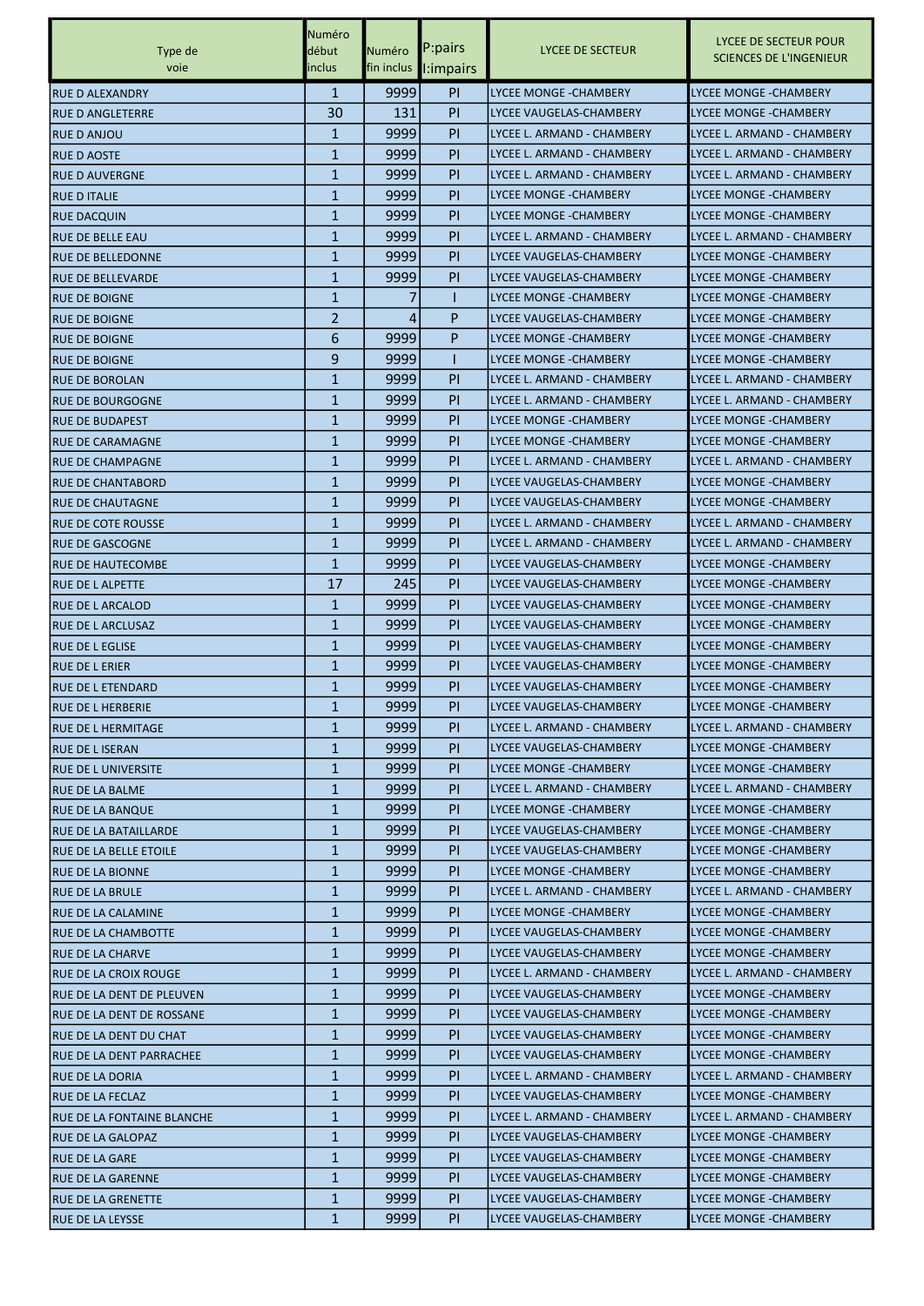|                              | Numéro       |        |                       |                               |                                                         |
|------------------------------|--------------|--------|-----------------------|-------------------------------|---------------------------------------------------------|
| Type de                      | début        | Numéro | P:pairs               | LYCEE DE SECTEUR              | LYCEE DE SECTEUR POUR<br><b>SCIENCES DE L'INGENIEUR</b> |
| voie                         | inclus       |        | fin inclus   :impairs |                               |                                                         |
| <b>RUE D ALEXANDRY</b>       | $\mathbf{1}$ | 9999   | PI                    | <b>LYCEE MONGE - CHAMBERY</b> | <b>LYCEE MONGE - CHAMBERY</b>                           |
| <b>RUE D ANGLETERRE</b>      | 30           | 131    | PI                    | LYCEE VAUGELAS-CHAMBERY       | LYCEE MONGE - CHAMBERY                                  |
| RUE D ANJOU                  | $\mathbf{1}$ | 9999   | <b>PI</b>             | LYCEE L. ARMAND - CHAMBERY    | LYCEE L. ARMAND - CHAMBERY                              |
| <b>RUE D AOSTE</b>           | $\mathbf{1}$ | 9999   | PI                    | LYCEE L. ARMAND - CHAMBERY    | LYCEE L. ARMAND - CHAMBERY                              |
| <b>RUE D AUVERGNE</b>        | $\mathbf{1}$ | 9999   | <b>PI</b>             | LYCEE L. ARMAND - CHAMBERY    | LYCEE L. ARMAND - CHAMBERY                              |
| <b>RUE D ITALIE</b>          | $\mathbf{1}$ | 9999   | PI                    | LYCEE MONGE - CHAMBERY        | <b>LYCEE MONGE - CHAMBERY</b>                           |
| <b>RUE DACQUIN</b>           | $\mathbf{1}$ | 9999   | PI                    | LYCEE MONGE - CHAMBERY        | <b>LYCEE MONGE - CHAMBERY</b>                           |
| <b>RUE DE BELLE EAU</b>      | $\mathbf{1}$ | 9999   | PI                    | LYCEE L. ARMAND - CHAMBERY    | LYCEE L. ARMAND - CHAMBERY                              |
| <b>RUE DE BELLEDONNE</b>     | $\mathbf{1}$ | 9999   | PI                    | LYCEE VAUGELAS-CHAMBERY       | LYCEE MONGE - CHAMBERY                                  |
| <b>RUE DE BELLEVARDE</b>     | $\mathbf{1}$ | 9999   | PI                    | LYCEE VAUGELAS-CHAMBERY       | LYCEE MONGE -CHAMBERY                                   |
| <b>RUE DE BOIGNE</b>         | 1            | 7      |                       | <b>LYCEE MONGE - CHAMBERY</b> | <b>LYCEE MONGE -CHAMBERY</b>                            |
|                              | 2            | 4      | P                     | LYCEE VAUGELAS-CHAMBERY       | <b>LYCEE MONGE - CHAMBERY</b>                           |
| <b>RUE DE BOIGNE</b>         |              |        | P                     | <b>LYCEE MONGE - CHAMBERY</b> |                                                         |
| IRUE DE BOIGNE               | 6            | 9999   |                       |                               | <b>LYCEE MONGE - CHAMBERY</b>                           |
| <b>RUE DE BOIGNE</b>         | 9            | 9999   |                       | <b>LYCEE MONGE - CHAMBERY</b> | <b>LYCEE MONGE - CHAMBERY</b>                           |
| <b>RUE DE BOROLAN</b>        | $\mathbf{1}$ | 9999   | <b>PI</b>             | LYCEE L. ARMAND - CHAMBERY    | LYCEE L. ARMAND - CHAMBERY                              |
| <b>RUE DE BOURGOGNE</b>      | 1            | 9999   | <b>PI</b>             | LYCEE L. ARMAND - CHAMBERY    | LYCEE L. ARMAND - CHAMBERY                              |
| <b>RUE DE BUDAPEST</b>       | $\mathbf{1}$ | 9999   | PI                    | <b>LYCEE MONGE - CHAMBERY</b> | <b>LYCEE MONGE - CHAMBERY</b>                           |
| IRUE DE CARAMAGNE            | $\mathbf{1}$ | 9999   | PI                    | LYCEE MONGE - CHAMBERY        | <b>LYCEE MONGE - CHAMBERY</b>                           |
| <b>RUE DE CHAMPAGNE</b>      | $\mathbf{1}$ | 9999   | <b>PI</b>             | LYCEE L. ARMAND - CHAMBERY    | LYCEE L. ARMAND - CHAMBERY                              |
| <b>RUE DE CHANTABORD</b>     | $\mathbf{1}$ | 9999   | PI                    | LYCEE VAUGELAS-CHAMBERY       | <b>LYCEE MONGE - CHAMBERY</b>                           |
| <b>RUE DE CHAUTAGNE</b>      | $\mathbf{1}$ | 9999   | PI                    | LYCEE VAUGELAS-CHAMBERY       | <b>LYCEE MONGE -CHAMBERY</b>                            |
| <b>RUE DE COTE ROUSSE</b>    | $\mathbf{1}$ | 9999   | PI                    | LYCEE L. ARMAND - CHAMBERY    | LYCEE L. ARMAND - CHAMBERY                              |
| RUE DE GASCOGNE              | $\mathbf{1}$ | 9999   | <b>PI</b>             | LYCEE L. ARMAND - CHAMBERY    | LYCEE L. ARMAND - CHAMBERY                              |
| <b>RUE DE HAUTECOMBE</b>     | $\mathbf{1}$ | 9999   | <b>PI</b>             | LYCEE VAUGELAS-CHAMBERY       | <b>LYCEE MONGE - CHAMBERY</b>                           |
| <b>RUE DE L ALPETTE</b>      | 17           | 245    | PI                    | LYCEE VAUGELAS-CHAMBERY       | <b>LYCEE MONGE -CHAMBERY</b>                            |
| <b>RUE DE L ARCALOD</b>      | 1            | 9999   | <b>PI</b>             | LYCEE VAUGELAS-CHAMBERY       | <b>LYCEE MONGE - CHAMBERY</b>                           |
| <b>RUE DE L ARCLUSAZ</b>     | $\mathbf{1}$ | 9999   | PI                    | LYCEE VAUGELAS-CHAMBERY       | <b>LYCEE MONGE - CHAMBERY</b>                           |
| <b>RUE DE L EGLISE</b>       | $\mathbf{1}$ | 9999   | <b>PI</b>             | LYCEE VAUGELAS-CHAMBERY       | LYCEE MONGE - CHAMBERY                                  |
| <b>RUE DE L ERIER</b>        | $\mathbf{1}$ | 9999   | <b>PI</b>             | LYCEE VAUGELAS-CHAMBERY       | LYCEE MONGE - CHAMBERY                                  |
| RUE DE L ETENDARD            | $\mathbf{1}$ | 9999   | <b>PI</b>             | LYCEE VAUGELAS-CHAMBERY       | LYCEE MONGE -CHAMBERY                                   |
| <b>RUE DE L HERBERIE</b>     | $\mathbf{1}$ | 9999   | PI                    | LYCEE VAUGELAS-CHAMBERY       | <b>LYCEE MONGE - CHAMBERY</b>                           |
| <b>RUE DE L HERMITAGE</b>    | $\mathbf{1}$ | 9999   | PI.                   | LYCEE L. ARMAND - CHAMBERY    | LYCEE L. ARMAND - CHAMBERY                              |
| <b>RUE DE L ISERAN</b>       | 1            | 9999   | <b>PI</b>             | LYCEE VAUGELAS-CHAMBERY       | <b>LYCEE MONGE -CHAMBERY</b>                            |
| <b>RUE DE L UNIVERSITE</b>   | $\mathbf{1}$ | 9999   | PI.                   | LYCEE MONGE - CHAMBERY        | LYCEE MONGE - CHAMBERY                                  |
| <b>RUE DE LA BALME</b>       | $\mathbf{1}$ | 9999   | PI.                   | LYCEE L. ARMAND - CHAMBERY    | LYCEE L. ARMAND - CHAMBERY                              |
| RUE DE LA BANQUE             | $\mathbf{1}$ | 9999   | PI                    | LYCEE MONGE - CHAMBERY        | LYCEE MONGE - CHAMBERY                                  |
| <b>RUE DE LA BATAILLARDE</b> | $\mathbf{1}$ | 9999   | PI.                   | LYCEE VAUGELAS-CHAMBERY       | LYCEE MONGE - CHAMBERY                                  |
| RUE DE LA BELLE ETOILE       | 1            | 9999   | PI.                   | LYCEE VAUGELAS-CHAMBERY       | LYCEE MONGE - CHAMBERY                                  |
| <b>RUE DE LA BIONNE</b>      | $\mathbf{1}$ | 99991  | PI.                   | LYCEE MONGE - CHAMBERY        | LYCEE MONGE - CHAMBERY                                  |
| <b>RUE DE LA BRULE</b>       | $\mathbf{1}$ | 9999   | PI.                   | LYCEE L. ARMAND - CHAMBERY    | LYCEE L. ARMAND - CHAMBERY                              |
| RUE DE LA CALAMINE           | $\mathbf{1}$ | 9999   | PI                    | LYCEE MONGE - CHAMBERY        | LYCEE MONGE - CHAMBERY                                  |
| RUE DE LA CHAMBOTTE          | $\mathbf{1}$ | 9999   | PI.                   | LYCEE VAUGELAS-CHAMBERY       | <b>LYCEE MONGE -CHAMBERY</b>                            |
| <b>RUE DE LA CHARVE</b>      | 1            | 9999   | <b>PI</b>             | LYCEE VAUGELAS-CHAMBERY       | LYCEE MONGE - CHAMBERY                                  |
| RUE DE LA CROIX ROUGE        | $\mathbf{1}$ | ا9999  | PI.                   | LYCEE L. ARMAND - CHAMBERY    | LYCEE L. ARMAND - CHAMBERY                              |
| RUE DE LA DENT DE PLEUVEN    | $\mathbf{1}$ | 9999   | PI.                   | LYCEE VAUGELAS-CHAMBERY       | LYCEE MONGE - CHAMBERY                                  |
|                              | $\mathbf{1}$ | 9999   | PI                    | LYCEE VAUGELAS-CHAMBERY       | LYCEE MONGE - CHAMBERY                                  |
| RUE DE LA DENT DE ROSSANE    | $\mathbf{1}$ | 9999   | PI.                   | LYCEE VAUGELAS-CHAMBERY       | <b>LYCEE MONGE -CHAMBERY</b>                            |
| RUE DE LA DENT DU CHAT       | 1            | 9999   | PI.                   | LYCEE VAUGELAS-CHAMBERY       |                                                         |
| RUE DE LA DENT PARRACHEE     |              | ا9999  |                       | LYCEE L. ARMAND - CHAMBERY    | LYCEE MONGE - CHAMBERY<br>LYCEE L. ARMAND - CHAMBERY    |
| <b>RUE DE LA DORIA</b>       | $\mathbf{1}$ |        | PI.                   |                               |                                                         |
| <b>RUE DE LA FECLAZ</b>      | $\mathbf{1}$ | 9999   | PI.                   | LYCEE VAUGELAS-CHAMBERY       | LYCEE MONGE - CHAMBERY                                  |
| RUE DE LA FONTAINE BLANCHE   | $\mathbf{1}$ | 9999   | PI                    | LYCEE L. ARMAND - CHAMBERY    | LYCEE L. ARMAND - CHAMBERY                              |
| <b>RUE DE LA GALOPAZ</b>     | $\mathbf{1}$ | 9999   | PI.                   | LYCEE VAUGELAS-CHAMBERY       | LYCEE MONGE - CHAMBERY                                  |
| <b>RUE DE LA GARE</b>        | $\mathbf{1}$ | 9999   | PI.                   | LYCEE VAUGELAS-CHAMBERY       | LYCEE MONGE - CHAMBERY                                  |
| <b>RUE DE LA GARENNE</b>     | $\mathbf{1}$ | 99991  | PI.                   | LYCEE VAUGELAS-CHAMBERY       | LYCEE MONGE - CHAMBERY                                  |
| RUE DE LA GRENETTE           | $\mathbf{1}$ | 9999   | PI.                   | LYCEE VAUGELAS-CHAMBERY       | LYCEE MONGE -CHAMBERY                                   |
| <b>RUE DE LA LEYSSE</b>      | $\mathbf{1}$ | 9999   | PI.                   | LYCEE VAUGELAS-CHAMBERY       | LYCEE MONGE - CHAMBERY                                  |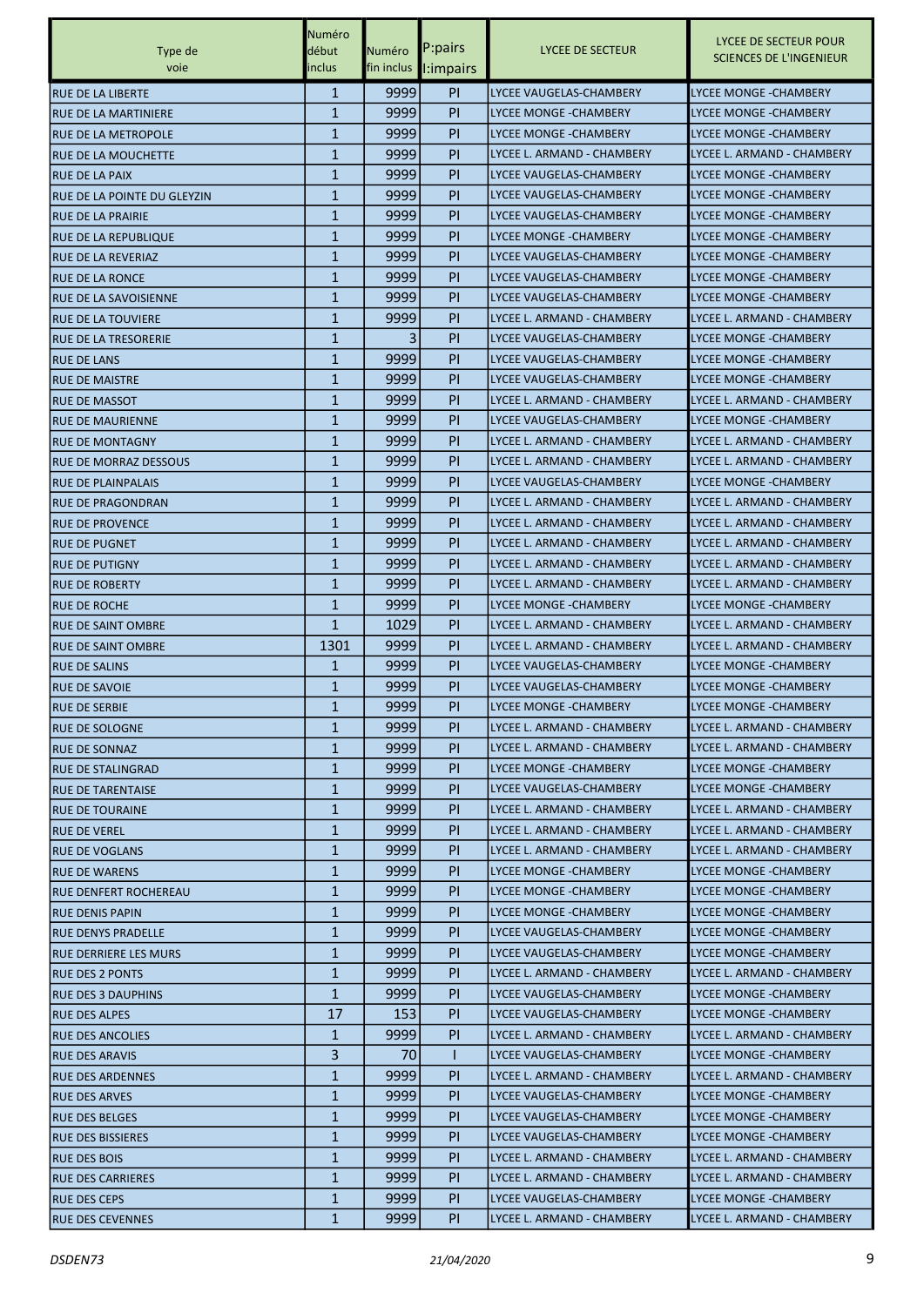|                                                         | Numéro                       |                      | P:pairs          | LYCEE DE SECTEUR               | LYCEE DE SECTEUR POUR                                      |
|---------------------------------------------------------|------------------------------|----------------------|------------------|--------------------------------|------------------------------------------------------------|
| Type de<br>voie                                         | début<br>inclus              | Numéro<br>fin inclus | <b>I:impairs</b> |                                | <b>SCIENCES DE L'INGENIEUR</b>                             |
| <b>RUE DE LA LIBERTE</b>                                | $\mathbf{1}$                 | 9999                 | <b>PI</b>        | lLYCEE VAUGELAS-CHAMBERY       | LYCEE MONGE - CHAMBERY                                     |
| <b>RUE DE LA MARTINIERE</b>                             | 1                            | 9999                 | PI               | LYCEE MONGE -CHAMBERY          | <b>LYCEE MONGE -CHAMBERY</b>                               |
| <b>RUE DE LA METROPOLE</b>                              | $\mathbf{1}$                 | 9999                 | PI               | LYCEE MONGE -CHAMBERY          | <b>LYCEE MONGE - CHAMBERY</b>                              |
| IRUE DE LA MOUCHETTE                                    | 1                            | 9999                 | <b>PI</b>        | LYCEE L. ARMAND - CHAMBERY     | LYCEE L. ARMAND - CHAMBERY                                 |
| IRUE DE LA PAIX                                         | 1                            | 9999                 | <b>PI</b>        | LYCEE VAUGELAS-CHAMBERY        | <b>LYCEE MONGE - CHAMBERY</b>                              |
| RUE DE LA POINTE DU GLEYZIN                             | $\mathbf{1}$                 | 9999                 | PI               | LYCEE VAUGELAS-CHAMBERY        | LYCEE MONGE - CHAMBERY                                     |
|                                                         | $\mathbf{1}$                 | 9999                 | PI               | LYCEE VAUGELAS-CHAMBERY        | <b>LYCEE MONGE -CHAMBERY</b>                               |
| <b>RUE DE LA PRAIRIE</b><br><b>RUE DE LA REPUBLIQUE</b> | $\mathbf{1}$                 | 9999                 | PI               | LYCEE MONGE -CHAMBERY          | <b>LYCEE MONGE - CHAMBERY</b>                              |
| <b>RUE DE LA REVERIAZ</b>                               | 1                            | 9999                 | PI               | LYCEE VAUGELAS-CHAMBERY        | LYCEE MONGE -CHAMBERY                                      |
| IRUE DE LA RONCE                                        | 1                            | 9999                 | <b>PI</b>        | LYCEE VAUGELAS-CHAMBERY        | <b>LYCEE MONGE - CHAMBERY</b>                              |
|                                                         | $\mathbf{1}$                 | 9999                 | <b>PI</b>        | LYCEE VAUGELAS-CHAMBERY        | LYCEE MONGE - CHAMBERY                                     |
| IRUE DE LA SAVOISIENNE<br><b>RUE DE LA TOUVIERE</b>     | 1                            | 9999                 | PI               | ILYCEE L. ARMAND - CHAMBERY    | LYCEE L. ARMAND - CHAMBERY                                 |
| <b>RUE DE LA TRESORERIE</b>                             | $\mathbf{1}$                 | 3                    | PI               | <b>LYCEE VAUGELAS-CHAMBERY</b> | <b>LYCEE MONGE -CHAMBERY</b>                               |
| <b>RUE DE LANS</b>                                      | 1                            | 9999                 | PI               | lLYCEE VAUGELAS-CHAMBERY       | <b>LYCEE MONGE -CHAMBERY</b>                               |
| <b>RUE DE MAISTRE</b>                                   | 1                            | 9999                 | <b>PI</b>        |                                |                                                            |
|                                                         |                              |                      |                  | LYCEE VAUGELAS-CHAMBERY        | <b>LYCEE MONGE - CHAMBERY</b>                              |
| <b>RUE DE MASSOT</b>                                    | $\mathbf{1}$<br>$\mathbf{1}$ | 9999                 | PI               | LYCEE L. ARMAND - CHAMBERY     | LYCEE L. ARMAND - CHAMBERY<br><b>LYCEE MONGE -CHAMBERY</b> |
| <b>RUE DE MAURIENNE</b>                                 |                              | 9999                 | PI               | LYCEE VAUGELAS-CHAMBERY        |                                                            |
| <b>RUE DE MONTAGNY</b>                                  | $\mathbf{1}$                 | 9999                 | PI               | lLYCEE L. ARMAND - CHAMBERY    | LYCEE L. ARMAND - CHAMBERY                                 |
| <b>RUE DE MORRAZ DESSOUS</b>                            | 1                            | 9999                 | PI               | lLYCEE L. ARMAND - CHAMBERY    | LYCEE L. ARMAND - CHAMBERY                                 |
| IRUE DE PLAINPALAIS                                     | $\mathbf{1}$                 | 9999                 | <b>PI</b>        | LYCEE VAUGELAS-CHAMBERY        | <b>LYCEE MONGE - CHAMBERY</b>                              |
| IRUE DE PRAGONDRAN                                      | $\mathbf{1}$                 | 9999                 | <b>PI</b>        | LYCEE L. ARMAND - CHAMBERY     | LYCEE L. ARMAND - CHAMBERY                                 |
| <b>RUE DE PROVENCE</b>                                  | 1                            | 9999                 | PI               | LYCEE L. ARMAND - CHAMBERY     | LYCEE L. ARMAND - CHAMBERY                                 |
| <b>RUE DE PUGNET</b>                                    | $\mathbf{1}$                 | 9999                 | PI               | LYCEE L. ARMAND - CHAMBERY     | LYCEE L. ARMAND - CHAMBERY                                 |
| <b>RUE DE PUTIGNY</b>                                   | 1                            | 9999                 | PI               | lLYCEE L. ARMAND - CHAMBERY    | LYCEE L. ARMAND - CHAMBERY                                 |
| <b>RUE DE ROBERTY</b>                                   | 1                            | 9999                 | PI               | LYCEE L. ARMAND - CHAMBERY     | LYCEE L. ARMAND - CHAMBERY                                 |
| <b>RUE DE ROCHE</b>                                     | 1                            | 9999                 | <b>PI</b>        | LYCEE MONGE -CHAMBERY          | LYCEE MONGE - CHAMBERY                                     |
| IRUE DE SAINT OMBRE                                     | $\mathbf{1}$                 | 1029                 | PI               | LYCEE L. ARMAND - CHAMBERY     | LYCEE L. ARMAND - CHAMBERY                                 |
| <b>RUE DE SAINT OMBRE</b>                               | 1301                         | 9999                 | <b>PI</b>        | lLYCEE L. ARMAND - CHAMBERY    | LYCEE L. ARMAND - CHAMBERY                                 |
| <b>RUE DE SALINS</b>                                    | 1                            | 9999                 | <b>PI</b>        | lLYCEE VAUGELAS-CHAMBERY       | <b>LYCEE MONGE -CHAMBERY</b>                               |
| <b>RUE DE SAVOIE</b>                                    | $\mathbf{1}$                 | 9999                 | <b>PI</b>        | LYCEE VAUGELAS-CHAMBERY        | <b>LYCEE MONGE - CHAMBERY</b>                              |
| <b>RUE DE SERBIE</b>                                    | $\mathbf{1}$                 | 9999                 | <b>PI</b>        | LYCEE MONGE -CHAMBERY          | <b>LYCEE MONGE - CHAMBERY</b>                              |
| <b>RUE DE SOLOGNE</b>                                   | $\mathbf{1}$                 | 9999                 | <b>PI</b>        | LYCEE L. ARMAND - CHAMBERY     | LYCEE L. ARMAND - CHAMBERY                                 |
| <b>RUE DE SONNAZ</b>                                    | 1                            | 9999                 | <b>PI</b>        | LYCEE L. ARMAND - CHAMBERY     | LYCEE L. ARMAND - CHAMBERY                                 |
| RUE DE STALINGRAD                                       | $\mathbf{1}$                 | ا9999                | PI.              | LYCEE MONGE -CHAMBERY          | LYCEE MONGE -CHAMBERY                                      |
| <b>RUE DE TARENTAISE</b>                                | $\mathbf{1}$                 | 99991                | <b>PI</b>        | LYCEE VAUGELAS-CHAMBERY        | <b>LYCEE MONGE - CHAMBERY</b>                              |
| <b>RUE DE TOURAINE</b>                                  | $\mathbf{1}$                 | 9999                 | PI.              | LYCEE L. ARMAND - CHAMBERY     | LYCEE L. ARMAND - CHAMBERY                                 |
| <b>RUE DE VEREL</b>                                     | $\mathbf{1}$                 | 9999                 | <b>PI</b>        | LYCEE L. ARMAND - CHAMBERY     | LYCEE L. ARMAND - CHAMBERY                                 |
| <b>RUE DE VOGLANS</b>                                   | $\mathbf{1}$                 | 99991                | <b>PI</b>        | LYCEE L. ARMAND - CHAMBERY     | LYCEE L. ARMAND - CHAMBERY                                 |
| <b>RUE DE WARENS</b>                                    | $\mathbf{1}$                 | 9999                 | <b>PI</b>        | LYCEE MONGE -CHAMBERY          | LYCEE MONGE - CHAMBERY                                     |
| IRUE DENFERT ROCHEREAU                                  | $\mathbf{1}$                 | 9999                 | <b>PI</b>        | LYCEE MONGE -CHAMBERY          | LYCEE MONGE - CHAMBERY                                     |
| <b>RUE DENIS PAPIN</b>                                  | $\mathbf{1}$                 | 99991                | PI.              | LYCEE MONGE -CHAMBERY          | LYCEE MONGE - CHAMBERY                                     |
| <b>RUE DENYS PRADELLE</b>                               | 1                            | 9999                 | <b>PI</b>        | LYCEE VAUGELAS-CHAMBERY        | LYCEE MONGE -CHAMBERY                                      |
| <b>RUE DERRIERE LES MURS</b>                            | $\mathbf{1}$                 | 99991                | PI               | LYCEE VAUGELAS-CHAMBERY        | LYCEE MONGE -CHAMBERY                                      |
| <b>RUE DES 2 PONTS</b>                                  | $\mathbf{1}$                 | 9999                 | PI.              | LYCEE L. ARMAND - CHAMBERY     | LYCEE L. ARMAND - CHAMBERY                                 |
| RUE DES 3 DAUPHINS                                      | $\mathbf{1}$                 | ا9999                | <b>PI</b>        | LYCEE VAUGELAS-CHAMBERY        | LYCEE MONGE - CHAMBERY                                     |
| <b>RUE DES ALPES</b>                                    | 17                           | <b>153</b>           | PI.              | LYCEE VAUGELAS-CHAMBERY        | LYCEE MONGE - CHAMBERY                                     |
| <b>RUE DES ANCOLIES</b>                                 | $\mathbf{1}$                 | 9999                 | <b>PI</b>        | LYCEE L. ARMAND - CHAMBERY     | LYCEE L. ARMAND - CHAMBERY                                 |
| <b>RUE DES ARAVIS</b>                                   | 3                            | 70                   | T                | LYCEE VAUGELAS-CHAMBERY        | LYCEE MONGE -CHAMBERY                                      |
| <b>RUE DES ARDENNES</b>                                 | $\mathbf{1}$                 | 9999                 | <b>PI</b>        | ILYCEE L. ARMAND - CHAMBERY    | LYCEE L. ARMAND - CHAMBERY                                 |
| <b>RUE DES ARVES</b>                                    | $\mathbf{1}$                 | 9999                 | <b>PI</b>        | LYCEE VAUGELAS-CHAMBERY        | LYCEE MONGE - CHAMBERY                                     |
| <b>RUE DES BELGES</b>                                   | $\mathbf{1}$                 | ا9999                | PI.              | LYCEE VAUGELAS-CHAMBERY        | LYCEE MONGE - CHAMBERY                                     |
| <b>RUE DES BISSIERES</b>                                | $\mathbf{1}$                 | 9999                 | <b>PI</b>        | LYCEE VAUGELAS-CHAMBERY        | LYCEE MONGE - CHAMBERY                                     |
| <b>RUE DES BOIS</b>                                     | $\mathbf{1}$                 | 9999                 | PI.              | LYCEE L. ARMAND - CHAMBERY     | LYCEE L. ARMAND - CHAMBERY                                 |
| <b>RUE DES CARRIERES</b>                                | $\mathbf{1}$                 | 9999                 | PI.              | ILYCEE L. ARMAND - CHAMBERY    | LYCEE L. ARMAND - CHAMBERY                                 |
| <b>RUE DES CEPS</b>                                     | $\mathbf{1}$                 | ا9999                | PI.              | LYCEE VAUGELAS-CHAMBERY        | LYCEE MONGE - CHAMBERY                                     |
| <b>RUE DES CEVENNES</b>                                 | $\mathbf{1}$                 | 9999                 | PI.              | LYCEE L. ARMAND - CHAMBERY     | LYCEE L. ARMAND - CHAMBERY                                 |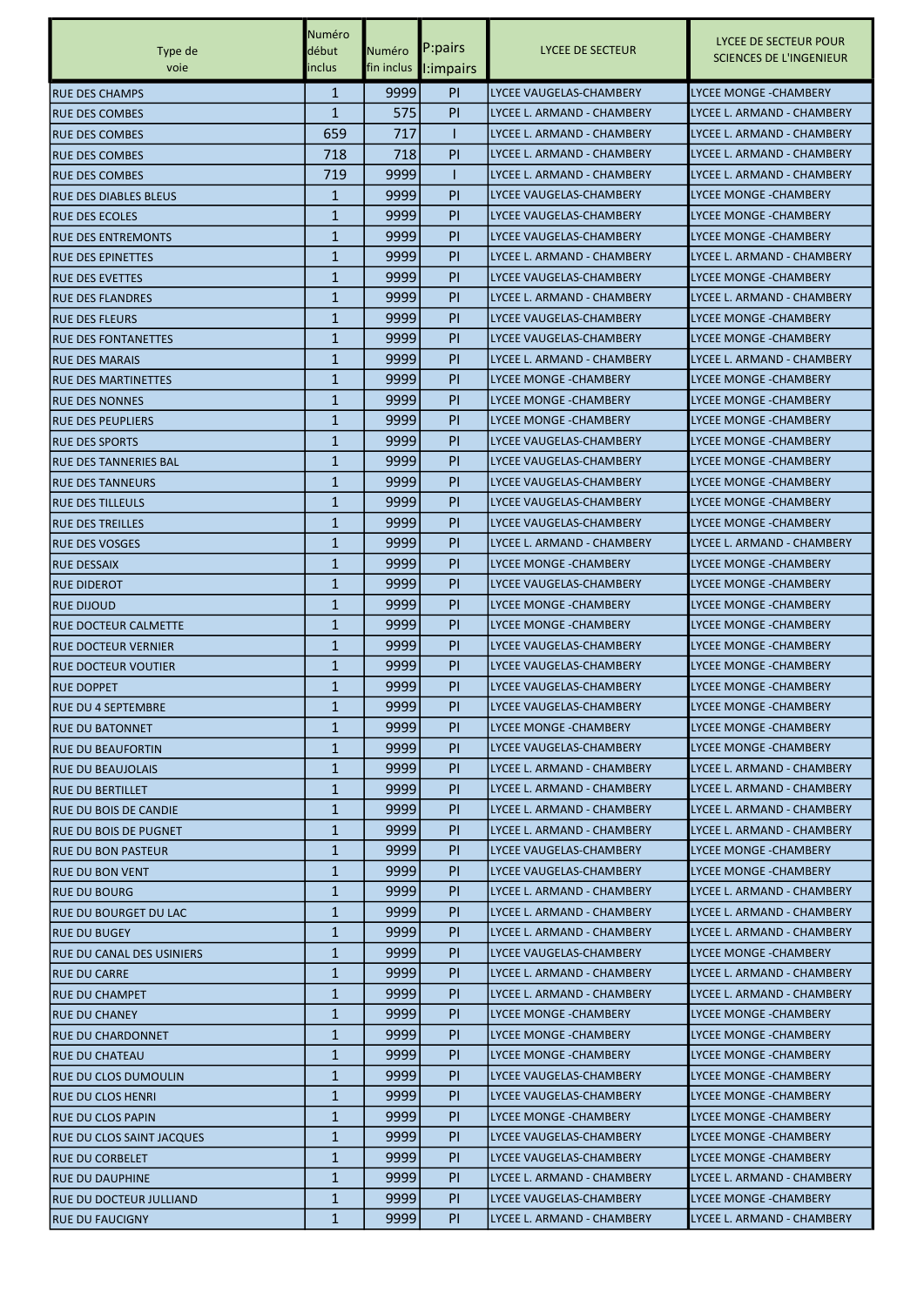|                              | Numéro       |        |                      |                             | LYCEE DE SECTEUR POUR          |
|------------------------------|--------------|--------|----------------------|-----------------------------|--------------------------------|
| Type de                      | début        | Numéro | P:pairs              | LYCEE DE SECTEUR            | <b>SCIENCES DE L'INGENIEUR</b> |
| voie                         | inclus       |        | fin inclus l:impairs |                             |                                |
| <b>RUE DES CHAMPS</b>        | $\mathbf{1}$ | 9999   | PI                   | LYCEE VAUGELAS-CHAMBERY     | <b>LYCEE MONGE - CHAMBERY</b>  |
| <b>RUE DES COMBES</b>        | $\mathbf{1}$ | 575    | PI                   | LYCEE L. ARMAND - CHAMBERY  | LYCEE L. ARMAND - CHAMBERY     |
| <b>RUE DES COMBES</b>        | 659          | 717    | ı                    | LYCEE L. ARMAND - CHAMBERY  | LYCEE L. ARMAND - CHAMBERY     |
| <b>RUE DES COMBES</b>        | 718          | 718    | PI                   | LYCEE L. ARMAND - CHAMBERY  | LYCEE L. ARMAND - CHAMBERY     |
| <b>RUE DES COMBES</b>        | 719          | 9999   | T                    | lLYCEE L. ARMAND - CHAMBERY | LYCEE L. ARMAND - CHAMBERY     |
| <b>RUE DES DIABLES BLEUS</b> | 1            | 9999   | PI                   | lLYCEE VAUGELAS-CHAMBERY    | <b>LYCEE MONGE - CHAMBERY</b>  |
| <b>RUE DES ECOLES</b>        | 1            | 9999   | PI                   | LYCEE VAUGELAS-CHAMBERY     | LYCEE MONGE - CHAMBERY         |
| <b>RUE DES ENTREMONTS</b>    | $\mathbf{1}$ | 9999   | PI                   | LYCEE VAUGELAS-CHAMBERY     | LYCEE MONGE -CHAMBERY          |
| <b>RUE DES EPINETTES</b>     | 1            | 9999   | <b>PI</b>            | ILYCEE L. ARMAND - CHAMBERY | LYCEE L. ARMAND - CHAMBERY     |
| <b>RUE DES EVETTES</b>       | 1            | 9999   | PI                   | lLYCEE VAUGELAS-CHAMBERY    | <b>LYCEE MONGE -CHAMBERY</b>   |
| <b>RUE DES FLANDRES</b>      | $\mathbf{1}$ | 9999   | PI                   | lLYCEE L. ARMAND - CHAMBERY | LYCEE L. ARMAND - CHAMBERY     |
| <b>RUE DES FLEURS</b>        | 1            | 9999   | <b>PI</b>            | LYCEE VAUGELAS-CHAMBERY     | <b>LYCEE MONGE - CHAMBERY</b>  |
| <b>IRUE DES FONTANETTES</b>  | $\mathbf{1}$ | 9999   | P                    | LYCEE VAUGELAS-CHAMBERY     | LYCEE MONGE -CHAMBERY          |
| <b>RUE DES MARAIS</b>        | 1            | 9999   | PI                   | LYCEE L. ARMAND - CHAMBERY  | LYCEE L. ARMAND - CHAMBERY     |
| <b>RUE DES MARTINETTES</b>   | 1            | 9999   | PI                   | LYCEE MONGE -CHAMBERY       | <b>LYCEE MONGE -CHAMBERY</b>   |
| <b>RUE DES NONNES</b>        | 1            | 9999   | PI                   | LYCEE MONGE -CHAMBERY       | <b>LYCEE MONGE -CHAMBERY</b>   |
| <b>RUE DES PEUPLIERS</b>     | 1            | 9999   | PI                   | LYCEE MONGE -CHAMBERY       | LYCEE MONGE - CHAMBERY         |
| <b>RUE DES SPORTS</b>        | $\mathbf{1}$ | 9999   | PI                   | LYCEE VAUGELAS-CHAMBERY     | LYCEE MONGE -CHAMBERY          |
| <b>RUE DES TANNERIES BAL</b> | 1            | 9999   | <b>PI</b>            | LYCEE VAUGELAS-CHAMBERY     | <b>LYCEE MONGE -CHAMBERY</b>   |
| <b>RUE DES TANNEURS</b>      | 1            | 9999   | PI                   | lLYCEE VAUGELAS-CHAMBERY    | <b>LYCEE MONGE -CHAMBERY</b>   |
| <b>RUE DES TILLEULS</b>      | $\mathbf{1}$ | 9999   | PI                   | lLYCEE VAUGELAS-CHAMBERY    | <b>LYCEE MONGE - CHAMBERY</b>  |
| <b>IRUE DES TREILLES</b>     | 1            | 9999   | <b>PI</b>            | LYCEE VAUGELAS-CHAMBERY     | LYCEE MONGE - CHAMBERY         |
| IRUE DES VOSGES              | $\mathbf{1}$ | 9999   | P                    | LYCEE L. ARMAND - CHAMBERY  | LYCEE L. ARMAND - CHAMBERY     |
| <b>RUE DESSAIX</b>           | 1            | 9999   | PI                   | LYCEE MONGE -CHAMBERY       | LYCEE MONGE -CHAMBERY          |
| <b>RUE DIDEROT</b>           | $\mathbf{1}$ | 9999   | PI                   | lLYCEE VAUGELAS-CHAMBERY    | <b>LYCEE MONGE -CHAMBERY</b>   |
| <b>RUE DIJOUD</b>            | 1            | 9999   | PI                   | LYCEE MONGE -CHAMBERY       | <b>LYCEE MONGE - CHAMBERY</b>  |
| <b>RUE DOCTEUR CALMETTE</b>  | 1            | 9999   | PI                   | LYCEE MONGE -CHAMBERY       | <b>LYCEE MONGE - CHAMBERY</b>  |
| <b>RUE DOCTEUR VERNIER</b>   | 1            | 9999   | PI                   | LYCEE VAUGELAS-CHAMBERY     | LYCEE MONGE -CHAMBERY          |
| <b>RUE DOCTEUR VOUTIER</b>   | 1            | 9999   | PI                   | LYCEE VAUGELAS-CHAMBERY     | LYCEE MONGE -CHAMBERY          |
| <b>RUE DOPPET</b>            | 1            | 9999   | <b>PI</b>            | lLYCEE VAUGELAS-CHAMBERY    | <b>LYCEE MONGE -CHAMBERY</b>   |
| <b>RUE DU 4 SEPTEMBRE</b>    | $\mathbf{1}$ | 9999   | PI                   | lLYCEE VAUGELAS-CHAMBERY    | <b>LYCEE MONGE -CHAMBERY</b>   |
| <b>RUE DU BATONNET</b>       | $\mathbf{1}$ | 9999   | <b>PI</b>            | LYCEE MONGE -CHAMBERY       | LYCEE MONGE - CHAMBERY         |
| <b>RUE DU BEAUFORTIN</b>     | $\mathbf{1}$ | 9999   | <b>PI</b>            | LYCEE VAUGELAS-CHAMBERY     | LYCEE MONGE - CHAMBERY         |
| <b>RUE DU BEAUJOLAIS</b>     | $\mathbf{1}$ | 9999   | PI.                  | LYCEE L. ARMAND - CHAMBERY  | LYCEE L. ARMAND - CHAMBERY     |
| <b>RUE DU BERTILLET</b>      | $\mathbf{1}$ | 9999   | <b>PI</b>            | LYCEE L. ARMAND - CHAMBERY  | LYCEE L. ARMAND - CHAMBERY     |
| <b>RUE DU BOIS DE CANDIE</b> | $\mathbf{1}$ | 9999   | PI                   | LYCEE L. ARMAND - CHAMBERY  | LYCEE L. ARMAND - CHAMBERY     |
| RUE DU BOIS DE PUGNET        | $\mathbf{1}$ | 9999   | <b>PI</b>            | LYCEE L. ARMAND - CHAMBERY  | LYCEE L. ARMAND - CHAMBERY     |
| <b>RUE DU BON PASTEUR</b>    | 1            | 9999   | <b>PI</b>            | LYCEE VAUGELAS-CHAMBERY     | LYCEE MONGE - CHAMBERY         |
| <b>RUE DU BON VENT</b>       | $\mathbf{1}$ | ا9999  | PI.                  | LYCEE VAUGELAS-CHAMBERY     | LYCEE MONGE - CHAMBERY         |
| <b>RUE DU BOURG</b>          | $\mathbf{1}$ | 9999   | <b>PI</b>            | LYCEE L. ARMAND - CHAMBERY  | LYCEE L. ARMAND - CHAMBERY     |
| RUE DU BOURGET DU LAC        | $\mathbf{1}$ | 9999   | PI                   | LYCEE L. ARMAND - CHAMBERY  | LYCEE L. ARMAND - CHAMBERY     |
| <b>RUE DU BUGEY</b>          | $\mathbf{1}$ | 9999   | <b>PI</b>            | LYCEE L. ARMAND - CHAMBERY  | LYCEE L. ARMAND - CHAMBERY     |
| RUE DU CANAL DES USINIERS    | 1            | 9999   | <b>PI</b>            | LYCEE VAUGELAS-CHAMBERY     | LYCEE MONGE - CHAMBERY         |
| <b>RUE DU CARRE</b>          | $\mathbf{1}$ | ا9999  | PI.                  | LYCEE L. ARMAND - CHAMBERY  | LYCEE L. ARMAND - CHAMBERY     |
| <b>RUE DU CHAMPET</b>        | $\mathbf{1}$ | 9999   | <b>PI</b>            | LYCEE L. ARMAND - CHAMBERY  | LYCEE L. ARMAND - CHAMBERY     |
| <b>RUE DU CHANEY</b>         | $\mathbf{1}$ | 9999   | PI                   | LYCEE MONGE - CHAMBERY      | LYCEE MONGE - CHAMBERY         |
| <b>RUE DU CHARDONNET</b>     | $\mathbf{1}$ | 9999   | <b>PI</b>            | LYCEE MONGE -CHAMBERY       | LYCEE MONGE - CHAMBERY         |
| RUE DU CHATEAU               | 1            | 9999   | <b>PI</b>            | LYCEE MONGE - CHAMBERY      | LYCEE MONGE - CHAMBERY         |
| RUE DU CLOS DUMOULIN         | 1            | ا9999  | PI.                  | LYCEE VAUGELAS-CHAMBERY     | LYCEE MONGE -CHAMBERY          |
| RUE DU CLOS HENRI            | $\mathbf{1}$ | 9999   | <b>PI</b>            | LYCEE VAUGELAS-CHAMBERY     | LYCEE MONGE -CHAMBERY          |
| RUE DU CLOS PAPIN            | $\mathbf{1}$ | 9999   | PI                   | LYCEE MONGE - CHAMBERY      | LYCEE MONGE - CHAMBERY         |
| RUE DU CLOS SAINT JACQUES    | $\mathbf{1}$ | 9999   | <b>PI</b>            | LYCEE VAUGELAS-CHAMBERY     | LYCEE MONGE -CHAMBERY          |
| <b>RUE DU CORBELET</b>       | $\mathbf{1}$ | 9999   | <b>PI</b>            | LYCEE VAUGELAS-CHAMBERY     | LYCEE MONGE -CHAMBERY          |
| <b>RUE DU DAUPHINE</b>       | $\mathbf{1}$ | ا9999  | PI.                  | LYCEE L. ARMAND - CHAMBERY  | LYCEE L. ARMAND - CHAMBERY     |
| RUE DU DOCTEUR JULLIAND      | $\mathbf{1}$ | 9999   | PI.                  | LYCEE VAUGELAS-CHAMBERY     | LYCEE MONGE -CHAMBERY          |
| <b>RUE DU FAUCIGNY</b>       | $\mathbf{1}$ | 9999   | PI.                  | LYCEE L. ARMAND - CHAMBERY  | LYCEE L. ARMAND - CHAMBERY     |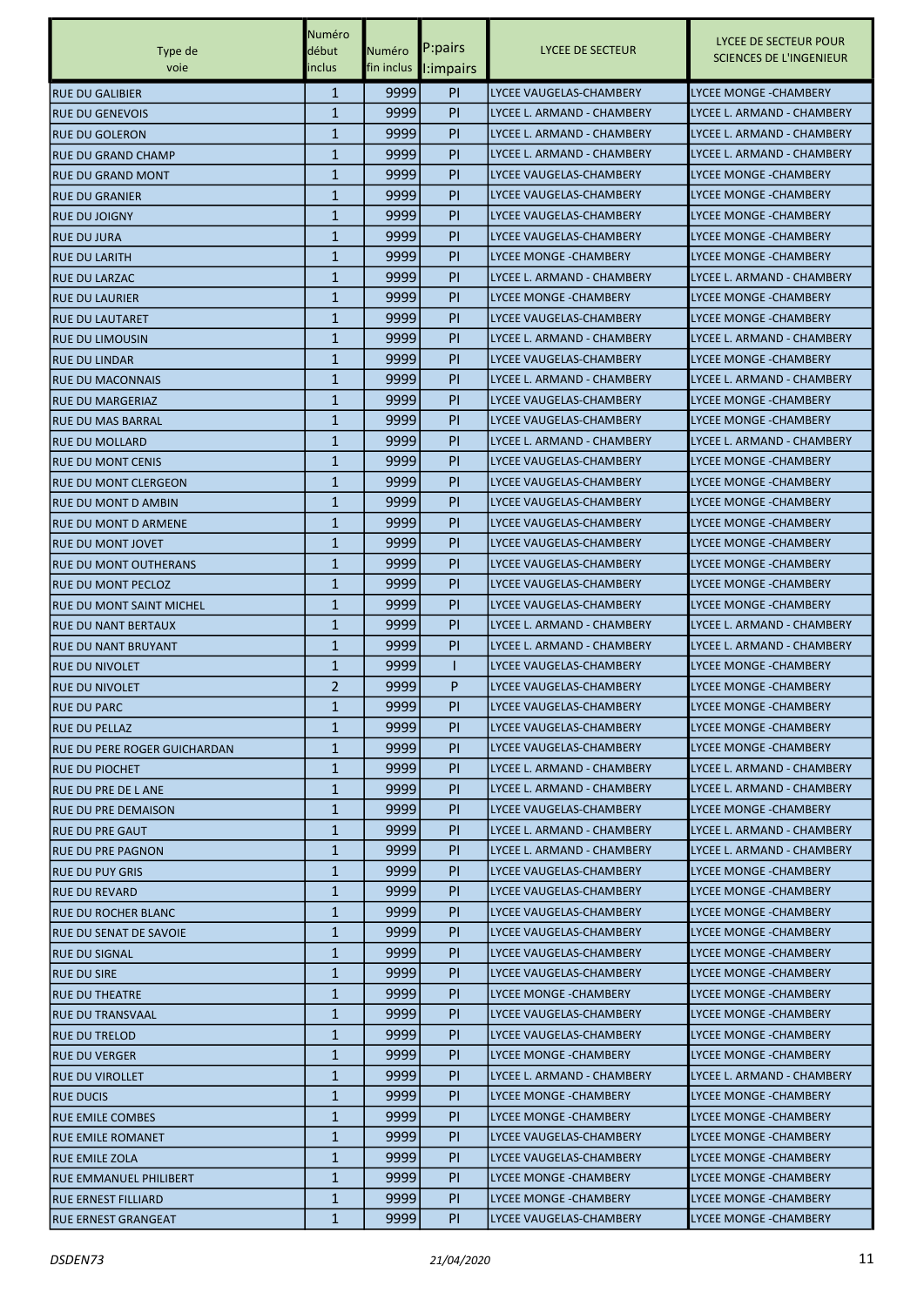|                                 | Numéro       |        |                       |                            | LYCEE DE SECTEUR POUR          |
|---------------------------------|--------------|--------|-----------------------|----------------------------|--------------------------------|
| Type de                         | début        | Numéro | P:pairs               | <b>LYCEE DE SECTEUR</b>    | <b>SCIENCES DE L'INGENIEUR</b> |
| voie                            | inclus       |        | fin inclus l: impairs |                            |                                |
| <b>RUE DU GALIBIER</b>          | $\mathbf{1}$ | 9999   | <b>PI</b>             | LYCEE VAUGELAS-CHAMBERY    | <b>LYCEE MONGE - CHAMBERY</b>  |
| <b>RUE DU GENEVOIS</b>          | $\mathbf{1}$ | 9999   | <b>PI</b>             | LYCEE L. ARMAND - CHAMBERY | LYCEE L. ARMAND - CHAMBERY     |
| <b>RUE DU GOLERON</b>           | $\mathbf{1}$ | 9999   | <b>PI</b>             | LYCEE L. ARMAND - CHAMBERY | LYCEE L. ARMAND - CHAMBERY     |
| IRUE DU GRAND CHAMP             | $\mathbf{1}$ | 9999   | PI                    | LYCEE L. ARMAND - CHAMBERY | LYCEE L. ARMAND - CHAMBERY     |
| RUE DU GRAND MONT               | $\mathbf{1}$ | 9999   | <b>PI</b>             | LYCEE VAUGELAS-CHAMBERY    | <b>LYCEE MONGE - CHAMBERY</b>  |
| <b>RUE DU GRANIER</b>           | 1            | 9999   | <b>PI</b>             | LYCEE VAUGELAS-CHAMBERY    | LYCEE MONGE -CHAMBERY          |
| <b>RUE DU JOIGNY</b>            | $\mathbf{1}$ | 9999   | <b>PI</b>             | LYCEE VAUGELAS-CHAMBERY    | <b>LYCEE MONGE -CHAMBERY</b>   |
| <b>RUE DU JURA</b>              | $\mathbf{1}$ | 9999   | PI                    | LYCEE VAUGELAS-CHAMBERY    | <b>LYCEE MONGE - CHAMBERY</b>  |
| <b>RUE DU LARITH</b>            | 1            | 9999   | PI                    | LYCEE MONGE - CHAMBERY     | LYCEE MONGE - CHAMBERY         |
| <b>RUE DU LARZAC</b>            | $\mathbf{1}$ | 9999   | PI                    | LYCEE L. ARMAND - CHAMBERY | LYCEE L. ARMAND - CHAMBERY     |
| <b>RUE DU LAURIER</b>           | $\mathbf{1}$ | 9999   | <b>PI</b>             | LYCEE MONGE - CHAMBERY     | LYCEE MONGE -CHAMBERY          |
| <b>RUE DU LAUTARET</b>          | $\mathbf{1}$ | 9999   | <b>PI</b>             | LYCEE VAUGELAS-CHAMBERY    | <b>LYCEE MONGE -CHAMBERY</b>   |
| RUE DU LIMOUSIN                 | $\mathbf{1}$ | 9999   | PI                    | LYCEE L. ARMAND - CHAMBERY | LYCEE L. ARMAND - CHAMBERY     |
| <b>RUE DU LINDAR</b>            | $\mathbf{1}$ | 9999   | PI                    | LYCEE VAUGELAS-CHAMBERY    | LYCEE MONGE - CHAMBERY         |
| <b>RUE DU MACONNAIS</b>         | $\mathbf{1}$ | 9999   | PI                    | LYCEE L. ARMAND - CHAMBERY | LYCEE L. ARMAND - CHAMBERY     |
| <b>RUE DU MARGERIAZ</b>         | $\mathbf{1}$ | 9999   | <b>PI</b>             | LYCEE VAUGELAS-CHAMBERY    | LYCEE MONGE - CHAMBERY         |
| IRUE DU MAS BARRAL              | $\mathbf{1}$ | 9999   | <b>PI</b>             | LYCEE VAUGELAS-CHAMBERY    | <b>LYCEE MONGE -CHAMBERY</b>   |
| RUE DU MOLLARD                  | $\mathbf{1}$ | 9999   | PI                    | LYCEE L. ARMAND - CHAMBERY | LYCEE L. ARMAND - CHAMBERY     |
| IRUE DU MONT CENIS              | 1            | 9999   | PI                    | LYCEE VAUGELAS-CHAMBERY    | LYCEE MONGE - CHAMBERY         |
| RUE DU MONT CLERGEON            | $\mathbf{1}$ | 9999   | PI                    | LYCEE VAUGELAS-CHAMBERY    | <b>LYCEE MONGE - CHAMBERY</b>  |
| <b>RUE DU MONT D AMBIN</b>      | $\mathbf{1}$ | 9999   | <b>PI</b>             | LYCEE VAUGELAS-CHAMBERY    | LYCEE MONGE -CHAMBERY          |
| <b>RUE DU MONT D ARMENE</b>     | $\mathbf{1}$ | 9999   | <b>PI</b>             | LYCEE VAUGELAS-CHAMBERY    | <b>LYCEE MONGE -CHAMBERY</b>   |
| IRUE DU MONT JOVET              | $\mathbf{1}$ | 9999   | PI                    | LYCEE VAUGELAS-CHAMBERY    | <b>LYCEE MONGE - CHAMBERY</b>  |
| IRUE DU MONT OUTHERANS          | $\mathbf{1}$ | 9999   | PI                    | LYCEE VAUGELAS-CHAMBERY    | LYCEE MONGE - CHAMBERY         |
| <b>RUE DU MONT PECLOZ</b>       | $\mathbf{1}$ | 9999   | <b>PI</b>             | LYCEE VAUGELAS-CHAMBERY    | <b>LYCEE MONGE - CHAMBERY</b>  |
| <b>RUE DU MONT SAINT MICHEL</b> | $\mathbf{1}$ | 9999   | <b>PI</b>             | LYCEE VAUGELAS-CHAMBERY    | <b>LYCEE MONGE - CHAMBERY</b>  |
| <b>RUE DU NANT BERTAUX</b>      | $\mathbf{1}$ | 9999   | <b>PI</b>             | LYCEE L. ARMAND - CHAMBERY | LYCEE L. ARMAND - CHAMBERY     |
| <b>RUE DU NANT BRUYANT</b>      | $\mathbf{1}$ | 9999   | PI                    | LYCEE L. ARMAND - CHAMBERY | LYCEE L. ARMAND - CHAMBERY     |
| <b>RUE DU NIVOLET</b>           | 1            | 9999   |                       | LYCEE VAUGELAS-CHAMBERY    | <b>LYCEE MONGE - CHAMBERY</b>  |
| <b>RUE DU NIVOLET</b>           | 2            | 9999   | P                     | LYCEE VAUGELAS-CHAMBERY    | <b>LYCEE MONGE - CHAMBERY</b>  |
| <b>RUE DU PARC</b>              | $\mathbf{1}$ | 9999   | PI                    | LYCEE VAUGELAS-CHAMBERY    | LYCEE MONGE - CHAMBERY         |
| <b>RUE DU PELLAZ</b>            | 1            | 9999   | <b>PI</b>             | LYCEE VAUGELAS-CHAMBERY    | <b>LYCEE MONGE - CHAMBERY</b>  |
| RUE DU PERE ROGER GUICHARDAN    | $\mathbf{1}$ | 9999   | P <sub>I</sub>        | LYCEE VAUGELAS-CHAMBERY    | LYCEE MONGE - CHAMBERY         |
| <b>RUE DU PIOCHET</b>           | 1            | 9999   | PI.                   | LYCEE L. ARMAND - CHAMBERY | LYCEE L. ARMAND - CHAMBERY     |
| RUE DU PRE DE L ANE             | 1            | 9999   | <b>PI</b>             | LYCEE L. ARMAND - CHAMBERY | LYCEE L. ARMAND - CHAMBERY     |
| <b>RUE DU PRE DEMAISON</b>      | $\mathbf{1}$ | 9999   | PI.                   | LYCEE VAUGELAS-CHAMBERY    | LYCEE MONGE - CHAMBERY         |
| <b>RUE DU PRE GAUT</b>          | $\mathbf{1}$ | 9999   | <b>PI</b>             | LYCEE L. ARMAND - CHAMBERY | LYCEE L. ARMAND - CHAMBERY     |
| RUE DU PRE PAGNON               | 1            | 9999   | PI.                   | LYCEE L. ARMAND - CHAMBERY | LYCEE L. ARMAND - CHAMBERY     |
| <b>RUE DU PUY GRIS</b>          | 1            | 9999   | PI.                   | LYCEE VAUGELAS-CHAMBERY    | LYCEE MONGE - CHAMBERY         |
| <b>RUE DU REVARD</b>            | 1            | 9999   | PI.                   | LYCEE VAUGELAS-CHAMBERY    | LYCEE MONGE - CHAMBERY         |
| <b>RUE DU ROCHER BLANC</b>      | $\mathbf{1}$ | 9999   | PI                    | LYCEE VAUGELAS-CHAMBERY    | LYCEE MONGE - CHAMBERY         |
| RUE DU SENAT DE SAVOIE          | $\mathbf{1}$ | 9999   | <b>PI</b>             | LYCEE VAUGELAS-CHAMBERY    | LYCEE MONGE - CHAMBERY         |
| RUE DU SIGNAL                   | $\mathbf{1}$ | 9999   | <b>PI</b>             | LYCEE VAUGELAS-CHAMBERY    | LYCEE MONGE - CHAMBERY         |
| <b>RUE DU SIRE</b>              | 1            | 9999   | PI.                   | LYCEE VAUGELAS-CHAMBERY    | LYCEE MONGE - CHAMBERY         |
| <b>RUE DU THEATRE</b>           | 1            | 9999   | PI.                   | LYCEE MONGE - CHAMBERY     | LYCEE MONGE - CHAMBERY         |
| <b>RUE DU TRANSVAAL</b>         | $\mathbf{1}$ | 9999   | PI.                   | LYCEE VAUGELAS-CHAMBERY    | LYCEE MONGE - CHAMBERY         |
| <b>RUE DU TRELOD</b>            | $\mathbf{1}$ | 9999   | PI.                   | LYCEE VAUGELAS-CHAMBERY    | LYCEE MONGE - CHAMBERY         |
| <b>RUE DU VERGER</b>            | 1            | 9999   | PI.                   | LYCEE MONGE - CHAMBERY     | <b>LYCEE MONGE -CHAMBERY</b>   |
|                                 |              |        |                       |                            |                                |
| <b>RUE DU VIROLLET</b>          | 1            | 9999   | PI.                   | LYCEE L. ARMAND - CHAMBERY | LYCEE L. ARMAND - CHAMBERY     |
| <b>RUE DUCIS</b>                | 1            | 9999   | PI.                   | LYCEE MONGE - CHAMBERY     | LYCEE MONGE - CHAMBERY         |
| <b>RUE EMILE COMBES</b>         | $\mathbf{1}$ | 9999   | PI                    | LYCEE MONGE - CHAMBERY     | LYCEE MONGE - CHAMBERY         |
| <b>RUE EMILE ROMANET</b>        | $\mathbf{1}$ | 9999   | <b>PI</b>             | LYCEE VAUGELAS-CHAMBERY    | LYCEE MONGE - CHAMBERY         |
| <b>RUE EMILE ZOLA</b>           | 1            | 9999   | <b>PI</b>             | LYCEE VAUGELAS-CHAMBERY    | LYCEE MONGE - CHAMBERY         |
| RUE EMMANUEL PHILIBERT          | 1            | 9999   | PI.                   | LYCEE MONGE - CHAMBERY     | LYCEE MONGE - CHAMBERY         |
| RUE ERNEST FILLIARD             | 1            | 9999   | PI.                   | LYCEE MONGE - CHAMBERY     | LYCEE MONGE - CHAMBERY         |
| <b>RUE ERNEST GRANGEAT</b>      | $\mathbf{1}$ | 9999   | PI                    | LYCEE VAUGELAS-CHAMBERY    | LYCEE MONGE - CHAMBERY         |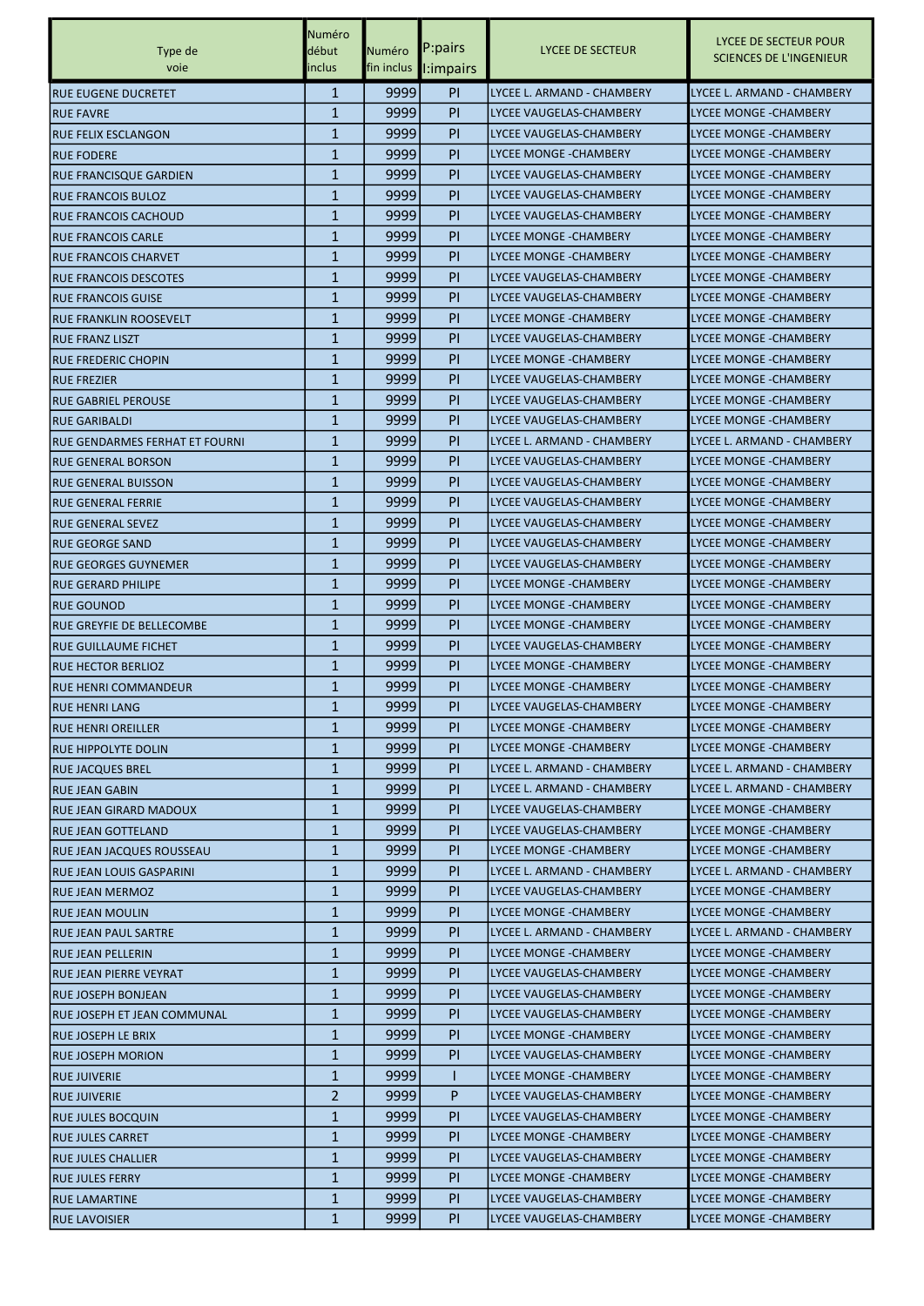|                                 | Numéro       |              |                         |                                                   |                                                         |
|---------------------------------|--------------|--------------|-------------------------|---------------------------------------------------|---------------------------------------------------------|
| Type de                         | début        | Numéro       | P:pairs                 | LYCEE DE SECTEUR                                  | LYCEE DE SECTEUR POUR<br><b>SCIENCES DE L'INGENIEUR</b> |
| voie                            | inclus       | fin inclus   | $\blacksquare$ :impairs |                                                   |                                                         |
| RUE EUGENE DUCRETET             | $\mathbf{1}$ | 9999         | <b>PI</b>               | LYCEE L. ARMAND - CHAMBERY                        | LYCEE L. ARMAND - CHAMBERY                              |
| <b>RUE FAVRE</b>                | $\mathbf{1}$ | 9999         | PI                      | LYCEE VAUGELAS-CHAMBERY                           | <b>LYCEE MONGE - CHAMBERY</b>                           |
| IRUE FELIX ESCLANGON            | $\mathbf{1}$ | 9999         | <b>PI</b>               | LYCEE VAUGELAS-CHAMBERY                           | <b>LYCEE MONGE - CHAMBERY</b>                           |
| <b>RUE FODERE</b>               | $\mathbf{1}$ | 9999         | PI                      | <b>LYCEE MONGE - CHAMBERY</b>                     | <b>LYCEE MONGE - CHAMBERY</b>                           |
| RUE FRANCISQUE GARDIEN          | $\mathbf{1}$ | 9999         | PI                      | LYCEE VAUGELAS-CHAMBERY                           | LYCEE MONGE - CHAMBERY                                  |
| <b>RUE FRANCOIS BULOZ</b>       | $\mathbf{1}$ | 9999         | <b>PI</b>               | LYCEE VAUGELAS-CHAMBERY                           | <b>LYCEE MONGE - CHAMBERY</b>                           |
| <b>RUE FRANCOIS CACHOUD</b>     | $\mathbf{1}$ | 9999         | <b>PI</b>               | LYCEE VAUGELAS-CHAMBERY                           | <b>LYCEE MONGE - CHAMBERY</b>                           |
| <b>RUE FRANCOIS CARLE</b>       | $\mathbf{1}$ | 9999         | <b>PI</b>               | LYCEE MONGE - CHAMBERY                            | <b>LYCEE MONGE -CHAMBERY</b>                            |
| <b>RUE FRANCOIS CHARVET</b>     | $\mathbf{1}$ | 9999         | PI                      | <b>LYCEE MONGE - CHAMBERY</b>                     | <b>LYCEE MONGE - CHAMBERY</b>                           |
| <b>IRUE FRANCOIS DESCOTES</b>   | 1            | 9999         | PI                      | LYCEE VAUGELAS-CHAMBERY                           | LYCEE MONGE - CHAMBERY                                  |
| <b>RUE FRANCOIS GUISE</b>       | $\mathbf{1}$ | 9999         | PI                      | LYCEE VAUGELAS-CHAMBERY                           | <b>LYCEE MONGE - CHAMBERY</b>                           |
| RUE FRANKLIN ROOSEVELT          | $\mathbf{1}$ | 9999         | <b>PI</b>               | LYCEE MONGE - CHAMBERY                            | <b>LYCEE MONGE - CHAMBERY</b>                           |
|                                 | $\mathbf{1}$ | 9999         | <b>PI</b>               | LYCEE VAUGELAS-CHAMBERY                           | <b>LYCEE MONGE -CHAMBERY</b>                            |
| <b>RUE FRANZ LISZT</b>          | $\mathbf{1}$ |              |                         |                                                   |                                                         |
| IRUE FREDERIC CHOPIN            |              | 9999         | PI                      | LYCEE MONGE - CHAMBERY                            | <b>LYCEE MONGE - CHAMBERY</b>                           |
| <b>RUE FREZIER</b>              | $\mathbf{1}$ | 9999         | PI                      | LYCEE VAUGELAS-CHAMBERY                           | LYCEE MONGE - CHAMBERY                                  |
| <b>RUE GABRIEL PEROUSE</b>      | $\mathbf{1}$ | 9999         | PI                      | LYCEE VAUGELAS-CHAMBERY                           | <b>LYCEE MONGE - CHAMBERY</b>                           |
| <b>RUE GARIBALDI</b>            | $\mathbf{1}$ | 9999         | <b>PI</b>               | LYCEE VAUGELAS-CHAMBERY                           | <b>LYCEE MONGE - CHAMBERY</b>                           |
| RUE GENDARMES FERHAT ET FOURNI  | $\mathbf{1}$ | 9999         | <b>PI</b>               | LYCEE L. ARMAND - CHAMBERY                        | LYCEE L. ARMAND - CHAMBERY                              |
| <b>RUE GENERAL BORSON</b>       | $\mathbf{1}$ | 9999         | PI                      | LYCEE VAUGELAS-CHAMBERY                           | <b>LYCEE MONGE -CHAMBERY</b>                            |
| IRUE GENERAL BUISSON            | $\mathbf{1}$ | 9999         | PI                      | LYCEE VAUGELAS-CHAMBERY                           | LYCEE MONGE - CHAMBERY                                  |
| <b>RUE GENERAL FERRIE</b>       | $\mathbf{1}$ | 9999         | PI                      | LYCEE VAUGELAS-CHAMBERY                           | <b>LYCEE MONGE - CHAMBERY</b>                           |
| <b>RUE GENERAL SEVEZ</b>        | $\mathbf{1}$ | 9999         | PI                      | LYCEE VAUGELAS-CHAMBERY                           | LYCEE MONGE -CHAMBERY                                   |
| <b>RUE GEORGE SAND</b>          | $\mathbf{1}$ | 9999         | <b>PI</b>               | LYCEE VAUGELAS-CHAMBERY                           | <b>LYCEE MONGE -CHAMBERY</b>                            |
| RUE GEORGES GUYNEMER            | $\mathbf{1}$ | 9999         | <b>PI</b>               | LYCEE VAUGELAS-CHAMBERY                           | <b>LYCEE MONGE -CHAMBERY</b>                            |
| IRUE GERARD PHILIPE             | 1            | 9999         | PI                      | LYCEE MONGE - CHAMBERY                            | LYCEE MONGE - CHAMBERY                                  |
| IRUE GOUNOD                     | $\mathbf{1}$ | 9999         | <b>PI</b>               | LYCEE MONGE - CHAMBERY                            | <b>LYCEE MONGE - CHAMBERY</b>                           |
| RUE GREYFIE DE BELLECOMBE       | $\mathbf{1}$ | 9999         | PI                      | LYCEE MONGE - CHAMBERY                            | <b>LYCEE MONGE - CHAMBERY</b>                           |
| RUE GUILLAUME FICHET            | $\mathbf{1}$ | 9999         | <b>PI</b>               | LYCEE VAUGELAS-CHAMBERY                           | <b>LYCEE MONGE -CHAMBERY</b>                            |
| <b>RUE HECTOR BERLIOZ</b>       | $\mathbf{1}$ | 9999         | <b>PI</b>               | <b>LYCEE MONGE - CHAMBERY</b>                     | <b>LYCEE MONGE - CHAMBERY</b>                           |
| <b>RUE HENRI COMMANDEUR</b>     | 1            | 9999         | PI                      | LYCEE MONGE - CHAMBERY                            | LYCEE MONGE -CHAMBERY                                   |
| <b>RUE HENRI LANG</b>           | $\mathbf{1}$ | 9999         | PI                      | LYCEE VAUGELAS-CHAMBERY                           | <b>LYCEE MONGE - CHAMBERY</b>                           |
| RUE HENRI OREILLER              | $\mathbf{1}$ | 99991        | PI.                     | LYCEE MONGE - CHAMBERY                            | LYCEE MONGE - CHAMBERY                                  |
| <b>RUE HIPPOLYTE DOLIN</b>      | $\mathbf{1}$ | 9999         | PI                      | LYCEE MONGE - CHAMBERY                            | LYCEE MONGE - CHAMBERY                                  |
| <b>RUE JACQUES BREL</b>         | $\mathbf{1}$ | 9999         | <b>PI</b>               | LYCEE L. ARMAND - CHAMBERY                        | LYCEE L. ARMAND - CHAMBERY                              |
| <b>RUE JEAN GABIN</b>           | 1            | 9999         | PI.                     | LYCEE L. ARMAND - CHAMBERY                        | LYCEE L. ARMAND - CHAMBERY                              |
| <b>RUE JEAN GIRARD MADOUX</b>   | 1            | 9999         | PI.                     | LYCEE VAUGELAS-CHAMBERY                           | LYCEE MONGE - CHAMBERY                                  |
| <b>RUE JEAN GOTTELAND</b>       | $\mathbf{1}$ | 9999         | PI.                     | LYCEE VAUGELAS-CHAMBERY                           | LYCEE MONGE - CHAMBERY                                  |
| RUE JEAN JACQUES ROUSSEAU       | $\mathbf{1}$ | 9999         | PI.                     | LYCEE MONGE - CHAMBERY                            | <b>LYCEE MONGE - CHAMBERY</b>                           |
| <b>RUE JEAN LOUIS GASPARINI</b> | 1            | 9999         | PI.                     | LYCEE L. ARMAND - CHAMBERY                        | LYCEE L. ARMAND - CHAMBERY                              |
| <b>RUE JEAN MERMOZ</b>          | 1            | 9999         | PI.                     | LYCEE VAUGELAS-CHAMBERY                           | LYCEE MONGE - CHAMBERY                                  |
| <b>RUE JEAN MOULIN</b>          | 1            | 9999         | PI.                     | LYCEE MONGE - CHAMBERY                            | LYCEE MONGE - CHAMBERY                                  |
| RUE JEAN PAUL SARTRE            | $\mathbf{1}$ | 9999         | PI                      | LYCEE L. ARMAND - CHAMBERY                        | LYCEE L. ARMAND - CHAMBERY                              |
| <b>RUE JEAN PELLERIN</b>        | $\mathbf{1}$ | 9999         | <b>PI</b>               | LYCEE MONGE - CHAMBERY                            | LYCEE MONGE - CHAMBERY                                  |
| RUE JEAN PIERRE VEYRAT          | $\mathbf{1}$ | 9999         | <b>PI</b>               | LYCEE VAUGELAS-CHAMBERY                           | LYCEE MONGE - CHAMBERY                                  |
| <b>RUE JOSEPH BONJEAN</b>       | 1            | 9999         | PI.                     | LYCEE VAUGELAS-CHAMBERY                           | LYCEE MONGE - CHAMBERY                                  |
| RUE JOSEPH ET JEAN COMMUNAL     | 1            | 9999         | PI.                     | LYCEE VAUGELAS-CHAMBERY                           | LYCEE MONGE - CHAMBERY                                  |
|                                 | $\mathbf{1}$ | 9999         | PI.                     | LYCEE MONGE - CHAMBERY                            | LYCEE MONGE - CHAMBERY                                  |
| <b>RUE JOSEPH LE BRIX</b>       | $\mathbf{1}$ |              |                         |                                                   |                                                         |
| <b>RUE JOSEPH MORION</b>        | $\mathbf{1}$ | 9999<br>9999 | <b>PI</b>               | LYCEE VAUGELAS-CHAMBERY<br>LYCEE MONGE - CHAMBERY | LYCEE MONGE - CHAMBERY<br><b>LYCEE MONGE -CHAMBERY</b>  |
| <b>RUE JUIVERIE</b>             |              |              |                         |                                                   |                                                         |
| <b>RUE JUIVERIE</b>             | 2            | 9999         | P                       | LYCEE VAUGELAS-CHAMBERY                           | LYCEE MONGE - CHAMBERY                                  |
| RUE JULES BOCQUIN               | 1            | 9999         | PI.                     | LYCEE VAUGELAS-CHAMBERY                           | LYCEE MONGE - CHAMBERY                                  |
| <b>RUE JULES CARRET</b>         | $\mathbf{1}$ | 9999         | PI.                     | LYCEE MONGE - CHAMBERY                            | LYCEE MONGE - CHAMBERY                                  |
| <b>RUE JULES CHALLIER</b>       | $\mathbf{1}$ | 9999         | <b>PI</b>               | LYCEE VAUGELAS-CHAMBERY                           | LYCEE MONGE - CHAMBERY                                  |
| <b>RUE JULES FERRY</b>          | $\mathbf{1}$ | 9999         | <b>PI</b>               | LYCEE MONGE - CHAMBERY                            | LYCEE MONGE - CHAMBERY                                  |
| <b>RUE LAMARTINE</b>            | 1            | 99991        | PI.                     | LYCEE VAUGELAS-CHAMBERY                           | LYCEE MONGE -CHAMBERY                                   |
| <b>RUE LAVOISIER</b>            | $\mathbf{1}$ | 9999         | PI.                     | LYCEE VAUGELAS-CHAMBERY                           | LYCEE MONGE - CHAMBERY                                  |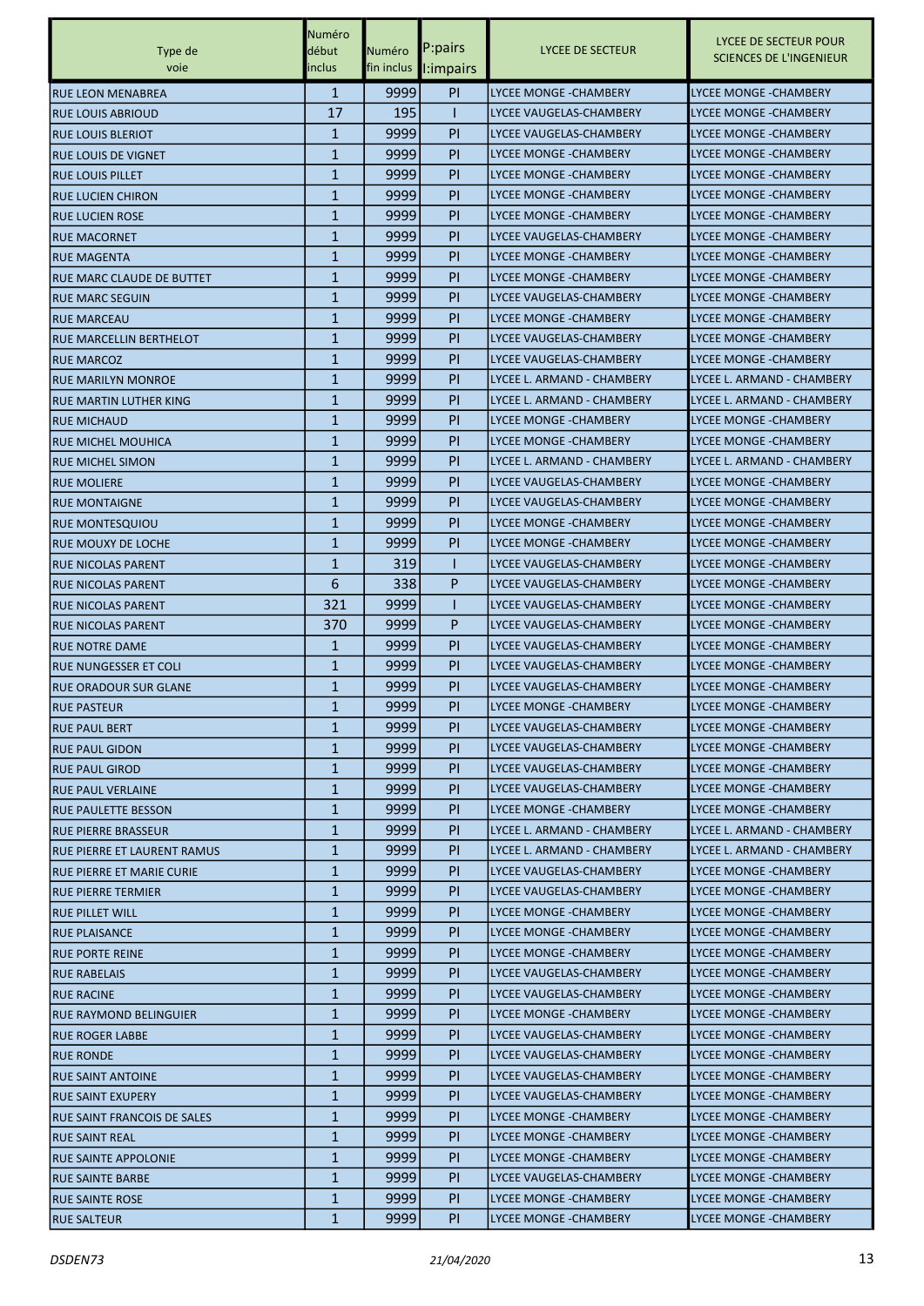|                                | Numéro       |              |           |                                                    |                                                         |
|--------------------------------|--------------|--------------|-----------|----------------------------------------------------|---------------------------------------------------------|
| Type de                        | début        | Numéro       | P:pairs   | LYCEE DE SECTEUR                                   | LYCEE DE SECTEUR POUR<br><b>SCIENCES DE L'INGENIEUR</b> |
| voie                           | inclus       | fin inclus   | I:impairs |                                                    |                                                         |
| IRUE LEON MENABREA             | $\mathbf{1}$ | 9999         | <b>PI</b> | <b>LYCEE MONGE - CHAMBERY</b>                      | <b>LYCEE MONGE - CHAMBERY</b>                           |
| <b>RUE LOUIS ABRIOUD</b>       | 17           | 195          |           | LYCEE VAUGELAS-CHAMBERY                            | <b>LYCEE MONGE - CHAMBERY</b>                           |
| <b>RUE LOUIS BLERIOT</b>       | 1            | 9999         | <b>PI</b> | LYCEE VAUGELAS-CHAMBERY                            | <b>LYCEE MONGE - CHAMBERY</b>                           |
| IRUE LOUIS DE VIGNET           | 1            | 9999         | PI        | LYCEE MONGE - CHAMBERY                             | LYCEE MONGE -CHAMBERY                                   |
| <b>RUE LOUIS PILLET</b>        | $\mathbf{1}$ | 9999         | <b>PI</b> | <b>LYCEE MONGE - CHAMBERY</b>                      | LYCEE MONGE - CHAMBERY                                  |
| <b>RUE LUCIEN CHIRON</b>       | 1            | 9999         | <b>PI</b> | <b>LYCEE MONGE - CHAMBERY</b>                      | <b>LYCEE MONGE - CHAMBERY</b>                           |
| <b>RUE LUCIEN ROSE</b>         | 1            | 9999         | <b>PI</b> | LYCEE MONGE - CHAMBERY                             | <b>LYCEE MONGE - CHAMBERY</b>                           |
| <b>RUE MACORNET</b>            | 1            | 9999         | PI        | LYCEE VAUGELAS-CHAMBERY                            | <b>LYCEE MONGE - CHAMBERY</b>                           |
| <b>RUE MAGENTA</b>             | 1            | 9999         | PI        | LYCEE MONGE - CHAMBERY                             | LYCEE MONGE -CHAMBERY                                   |
| RUE MARC CLAUDE DE BUTTET      | $\mathbf{1}$ | 9999         | PI        | LYCEE MONGE - CHAMBERY                             | LYCEE MONGE - CHAMBERY                                  |
| <b>RUE MARC SEGUIN</b>         | $\mathbf{1}$ | 9999         | <b>PI</b> | LYCEE VAUGELAS-CHAMBERY                            | <b>LYCEE MONGE -CHAMBERY</b>                            |
| <b>RUE MARCEAU</b>             | 1            | 9999         | <b>PI</b> | <b>LYCEE MONGE - CHAMBERY</b>                      | <b>LYCEE MONGE - CHAMBERY</b>                           |
| <b>RUE MARCELLIN BERTHELOT</b> | 1            | 9999         | PI        | LYCEE VAUGELAS-CHAMBERY                            | <b>LYCEE MONGE - CHAMBERY</b>                           |
| <b>RUE MARCOZ</b>              | 1            | 9999         | PI        | LYCEE VAUGELAS-CHAMBERY                            | <b>LYCEE MONGE - CHAMBERY</b>                           |
| <b>RUE MARILYN MONROE</b>      | $\mathbf{1}$ | 9999         | PI        | LYCEE L. ARMAND - CHAMBERY                         | LYCEE L. ARMAND - CHAMBERY                              |
| RUE MARTIN LUTHER KING         | $\mathbf{1}$ | 9999         | <b>PI</b> | LYCEE L. ARMAND - CHAMBERY                         | LYCEE L. ARMAND - CHAMBERY                              |
| <b>RUE MICHAUD</b>             | 1            | 9999         | <b>PI</b> | LYCEE MONGE - CHAMBERY                             | <b>LYCEE MONGE - CHAMBERY</b>                           |
| <b>RUE MICHEL MOUHICA</b>      | 1            | 9999         | PI        | LYCEE MONGE - CHAMBERY                             | LYCEE MONGE -CHAMBERY                                   |
| <b>RUE MICHEL SIMON</b>        | 1            | 9999         | PI        | LYCEE L. ARMAND - CHAMBERY                         | LYCEE L. ARMAND - CHAMBERY                              |
| <b>RUE MOLIERE</b>             | $\mathbf{1}$ | 9999         | PI        | LYCEE VAUGELAS-CHAMBERY                            | LYCEE MONGE - CHAMBERY                                  |
| <b>RUE MONTAIGNE</b>           | $\mathbf{1}$ | 9999         | <b>PI</b> | LYCEE VAUGELAS-CHAMBERY                            | <b>LYCEE MONGE -CHAMBERY</b>                            |
| <b>RUE MONTESQUIOU</b>         | 1            | 9999         | <b>PI</b> | <b>LYCEE MONGE - CHAMBERY</b>                      | <b>LYCEE MONGE - CHAMBERY</b>                           |
| RUE MOUXY DE LOCHE             | 1            | 9999         | PI        | LYCEE MONGE - CHAMBERY                             | <b>LYCEE MONGE - CHAMBERY</b>                           |
| <b>RUE NICOLAS PARENT</b>      | 1            | 319          |           | LYCEE VAUGELAS-CHAMBERY                            | LYCEE MONGE -CHAMBERY                                   |
|                                | 6            | 338          | P         | LYCEE VAUGELAS-CHAMBERY                            | <b>LYCEE MONGE - CHAMBERY</b>                           |
| <b>RUE NICOLAS PARENT</b>      |              | 9999         |           |                                                    | <b>LYCEE MONGE - CHAMBERY</b>                           |
| <b>RUE NICOLAS PARENT</b>      | 321          |              | L<br>P    | LYCEE VAUGELAS-CHAMBERY<br>LYCEE VAUGELAS-CHAMBERY | <b>LYCEE MONGE -CHAMBERY</b>                            |
| <b>RUE NICOLAS PARENT</b>      | 370          | 9999<br>9999 | PI        |                                                    |                                                         |
| <b>RUE NOTRE DAME</b>          | 1<br>1       | 9999         | PI        | LYCEE VAUGELAS-CHAMBERY                            | <b>LYCEE MONGE -CHAMBERY</b>                            |
| IRUE NUNGESSER ET COLI         |              |              |           | LYCEE VAUGELAS-CHAMBERY                            | LYCEE MONGE -CHAMBERY                                   |
| <b>RUE ORADOUR SUR GLANE</b>   | 1            | 9999         | <b>PI</b> | LYCEE VAUGELAS-CHAMBERY                            | LYCEE MONGE - CHAMBERY                                  |
| <b>RUE PASTEUR</b>             | $\mathbf{1}$ | 9999         | PI        | <b>LYCEE MONGE - CHAMBERY</b>                      | <b>LYCEE MONGE - CHAMBERY</b>                           |
| <b>RUE PAUL BERT</b>           | $\mathbf{1}$ | 9999         | PI.       | LYCEE VAUGELAS-CHAMBERY                            | LYCEE MONGE - CHAMBERY                                  |
| <b>RUE PAUL GIDON</b>          | 1            | 9999         | <b>PI</b> | LYCEE VAUGELAS-CHAMBERY                            | LYCEE MONGE - CHAMBERY                                  |
| <b>RUE PAUL GIROD</b>          | 1            | 99991        | PI.       | LYCEE VAUGELAS-CHAMBERY                            | LYCEE MONGE -CHAMBERY                                   |
| <b>RUE PAUL VERLAINE</b>       | 1            | 9999         | PI.       | LYCEE VAUGELAS-CHAMBERY                            | LYCEE MONGE - CHAMBERY                                  |
| RUE PAULETTE BESSON            | $\mathbf{1}$ | 9999         | PI.       | LYCEE MONGE - CHAMBERY                             | LYCEE MONGE - CHAMBERY                                  |
| <b>RUE PIERRE BRASSEUR</b>     | 1            | 9999         | PI.       | LYCEE L. ARMAND - CHAMBERY                         | LYCEE L. ARMAND - CHAMBERY                              |
| RUE PIERRE ET LAURENT RAMUS    | 1            | 9999         | PI.       | LYCEE L. ARMAND - CHAMBERY                         | LYCEE L. ARMAND - CHAMBERY                              |
| RUE PIERRE ET MARIE CURIE      | 1            | 9999         | PI.       | LYCEE VAUGELAS-CHAMBERY                            | LYCEE MONGE - CHAMBERY                                  |
| <b>RUE PIERRE TERMIER</b>      | 1            | 9999         | <b>PI</b> | LYCEE VAUGELAS-CHAMBERY                            | LYCEE MONGE - CHAMBERY                                  |
| <b>RUE PILLET WILL</b>         | $\mathbf{1}$ | 9999         | PI        | LYCEE MONGE - CHAMBERY                             | LYCEE MONGE - CHAMBERY                                  |
| <b>RUE PLAISANCE</b>           | 1            | 9999         | <b>PI</b> | LYCEE MONGE - CHAMBERY                             | LYCEE MONGE - CHAMBERY                                  |
| <b>RUE PORTE REINE</b>         | 1            | 9999         | <b>PI</b> | LYCEE MONGE - CHAMBERY                             | LYCEE MONGE - CHAMBERY                                  |
| <b>RUE RABELAIS</b>            | 1            | 9999         | PI.       | LYCEE VAUGELAS-CHAMBERY                            | LYCEE MONGE -CHAMBERY                                   |
| <b>RUE RACINE</b>              | 1            | 9999         | PI.       | LYCEE VAUGELAS-CHAMBERY                            | LYCEE MONGE - CHAMBERY                                  |
| <b>RUE RAYMOND BELINGUIER</b>  | $\mathbf{1}$ | 9999         | PI.       | LYCEE MONGE - CHAMBERY                             | LYCEE MONGE - CHAMBERY                                  |
| <b>RUE ROGER LABBE</b>         | 1            | 9999         | PI.       | LYCEE VAUGELAS-CHAMBERY                            | LYCEE MONGE - CHAMBERY                                  |
| <b>RUE RONDE</b>               | 1            | 9999         | PI.       | LYCEE VAUGELAS-CHAMBERY                            | LYCEE MONGE - CHAMBERY                                  |
| <b>RUE SAINT ANTOINE</b>       | 1            | 9999         | PI.       | LYCEE VAUGELAS-CHAMBERY                            | LYCEE MONGE - CHAMBERY                                  |
| <b>RUE SAINT EXUPERY</b>       | 1            | 9999         | PI.       | LYCEE VAUGELAS-CHAMBERY                            | LYCEE MONGE - CHAMBERY                                  |
| RUE SAINT FRANCOIS DE SALES    | $\mathbf{1}$ | 9999         | PI        | LYCEE MONGE - CHAMBERY                             | LYCEE MONGE - CHAMBERY                                  |
| <b>RUE SAINT REAL</b>          | 1            | 9999         | <b>PI</b> | LYCEE MONGE - CHAMBERY                             | LYCEE MONGE - CHAMBERY                                  |
| <b>RUE SAINTE APPOLONIE</b>    | 1            | 9999         | <b>PI</b> | LYCEE MONGE - CHAMBERY                             | LYCEE MONGE - CHAMBERY                                  |
| <b>RUE SAINTE BARBE</b>        | 1            | 9999         | PI.       | LYCEE VAUGELAS-CHAMBERY                            | LYCEE MONGE -CHAMBERY                                   |
| <b>RUE SAINTE ROSE</b>         | 1            | 99991        | PI.       | LYCEE MONGE - CHAMBERY                             | LYCEE MONGE - CHAMBERY                                  |
| <b>RUE SALTEUR</b>             | $\mathbf{1}$ | 9999         | PI        | LYCEE MONGE - CHAMBERY                             | LYCEE MONGE -CHAMBERY                                   |